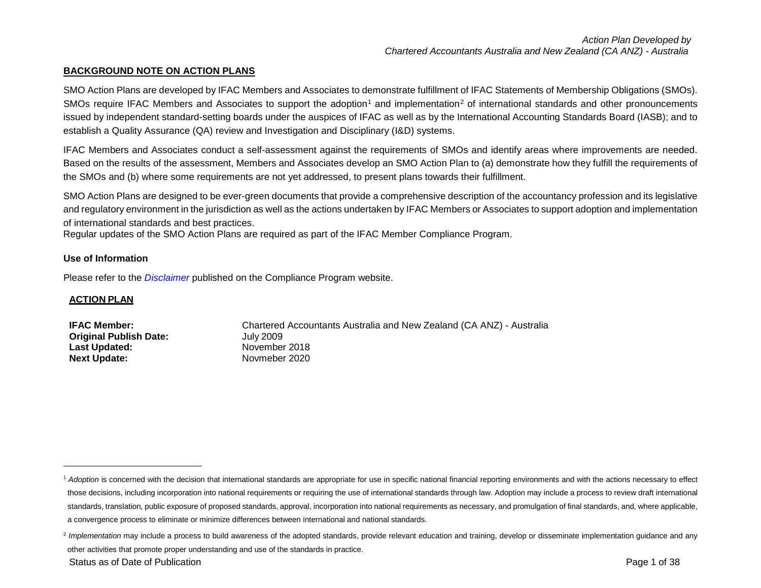## <span id="page-0-1"></span><span id="page-0-0"></span>**BACKGROUND NOTE ON ACTION PLANS**

SMO Action Plans are developed by IFAC Members and Associates to demonstrate fulfillment of IFAC Statements of Membership Obligations (SMOs). SMOs require IFAC Members and Associates to support the adoption<sup>[1](#page-0-0)</sup> and implementation<sup>[2](#page-0-1)</sup> of international standards and other pronouncements issued by independent standard-setting boards under the auspices of IFAC as well as by the International Accounting Standards Board (IASB); and to establish a Quality Assurance (QA) review and Investigation and Disciplinary (I&D) systems.

IFAC Members and Associates conduct a self-assessment against the requirements of SMOs and identify areas where improvements are needed. Based on the results of the assessment, Members and Associates develop an SMO Action Plan to (a) demonstrate how they fulfill the requirements of the SMOs and (b) where some requirements are not yet addressed, to present plans towards their fulfillment.

SMO Action Plans are designed to be ever-green documents that provide a comprehensive description of the accountancy profession and its legislative and regulatory environment in the jurisdiction as well as the actions undertaken by IFAC Members or Associates to support adoption and implementation of international standards and best practices.

Regular updates of the SMO Action Plans are required as part of the IFAC Member Compliance Program.

#### **Use of Information**

Please refer to the *[Disclaimer](http://www.ifac.org/about-ifac/membership/members/disclaimer)* published on the Compliance Program website.

#### **ACTION PLAN**

l

| <b>IFAC Member:</b>           | Chartered Accountants Australia and New Zealand (CA ANZ) - Australia |
|-------------------------------|----------------------------------------------------------------------|
| <b>Original Publish Date:</b> | July 2009                                                            |
| Last Updated:                 | November 2018                                                        |
| <b>Next Update:</b>           | Novmeber 2020                                                        |

<sup>&</sup>lt;sup>1</sup> Adoption is concerned with the decision that international standards are appropriate for use in specific national financial reporting environments and with the actions necessary to effect those decisions, including incorporation into national requirements or requiring the use of international standards through law. Adoption may include a process to review draft international standards, translation, public exposure of proposed standards, approval, incorporation into national requirements as necessary, and promulgation of final standards, and, where applicable, a convergence process to eliminate or minimize differences between international and national standards.

<sup>&</sup>lt;sup>2</sup> Implementation may include a process to build awareness of the adopted standards, provide relevant education and training, develop or disseminate implementation guidance and any other activities that promote proper understanding and use of the standards in practice.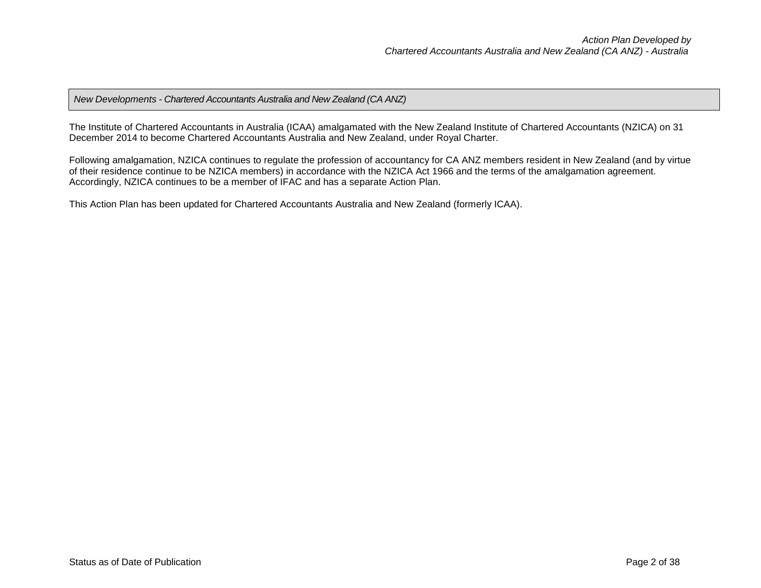## *New Developments - Chartered Accountants Australia and New Zealand (CA ANZ)*

The Institute of Chartered Accountants in Australia (ICAA) amalgamated with the New Zealand Institute of Chartered Accountants (NZICA) on 31 December 2014 to become Chartered Accountants Australia and New Zealand, under Royal Charter.

Following amalgamation, NZICA continues to regulate the profession of accountancy for CA ANZ members resident in New Zealand (and by virtue of their residence continue to be NZICA members) in accordance with the NZICA Act 1966 and the terms of the amalgamation agreement. Accordingly, NZICA continues to be a member of IFAC and has a separate Action Plan.

This Action Plan has been updated for Chartered Accountants Australia and New Zealand (formerly ICAA).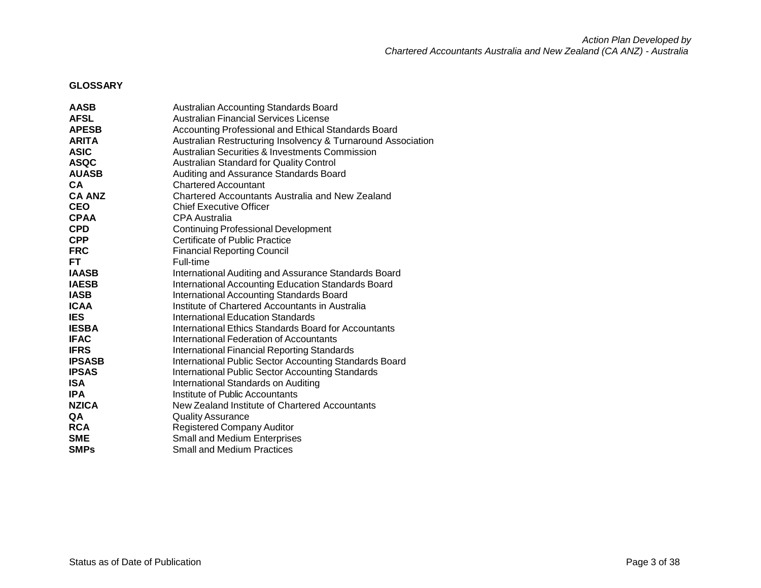*Action Plan Developed by Chartered Accountants Australia and New Zealand (CA ANZ) - Australia*

## **GLOSSARY**

| <b>AASB</b>   | Australian Accounting Standards Board                        |
|---------------|--------------------------------------------------------------|
| <b>AFSL</b>   | Australian Financial Services License                        |
| <b>APESB</b>  | Accounting Professional and Ethical Standards Board          |
| <b>ARITA</b>  | Australian Restructuring Insolvency & Turnaround Association |
| <b>ASIC</b>   | <b>Australian Securities &amp; Investments Commission</b>    |
| <b>ASQC</b>   | Australian Standard for Quality Control                      |
| <b>AUASB</b>  | Auditing and Assurance Standards Board                       |
| <b>CA</b>     | <b>Chartered Accountant</b>                                  |
| <b>CA ANZ</b> | <b>Chartered Accountants Australia and New Zealand</b>       |
| <b>CEO</b>    | <b>Chief Executive Officer</b>                               |
| <b>CPAA</b>   | <b>CPA Australia</b>                                         |
| <b>CPD</b>    | <b>Continuing Professional Development</b>                   |
| <b>CPP</b>    | <b>Certificate of Public Practice</b>                        |
| <b>FRC</b>    | <b>Financial Reporting Council</b>                           |
| FT.           | Full-time                                                    |
| <b>IAASB</b>  | International Auditing and Assurance Standards Board         |
| <b>IAESB</b>  | International Accounting Education Standards Board           |
| <b>IASB</b>   | <b>International Accounting Standards Board</b>              |
| <b>ICAA</b>   | Institute of Chartered Accountants in Australia              |
| <b>IES</b>    | <b>International Education Standards</b>                     |
| <b>IESBA</b>  | International Ethics Standards Board for Accountants         |
| <b>IFAC</b>   | <b>International Federation of Accountants</b>               |
| <b>IFRS</b>   | <b>International Financial Reporting Standards</b>           |
| <b>IPSASB</b> | International Public Sector Accounting Standards Board       |
| <b>IPSAS</b>  | <b>International Public Sector Accounting Standards</b>      |
| <b>ISA</b>    | International Standards on Auditing                          |
| <b>IPA</b>    | Institute of Public Accountants                              |
| <b>NZICA</b>  | New Zealand Institute of Chartered Accountants               |
| QA            | <b>Quality Assurance</b>                                     |
| <b>RCA</b>    | <b>Registered Company Auditor</b>                            |
| <b>SME</b>    | Small and Medium Enterprises                                 |
| <b>SMPs</b>   | <b>Small and Medium Practices</b>                            |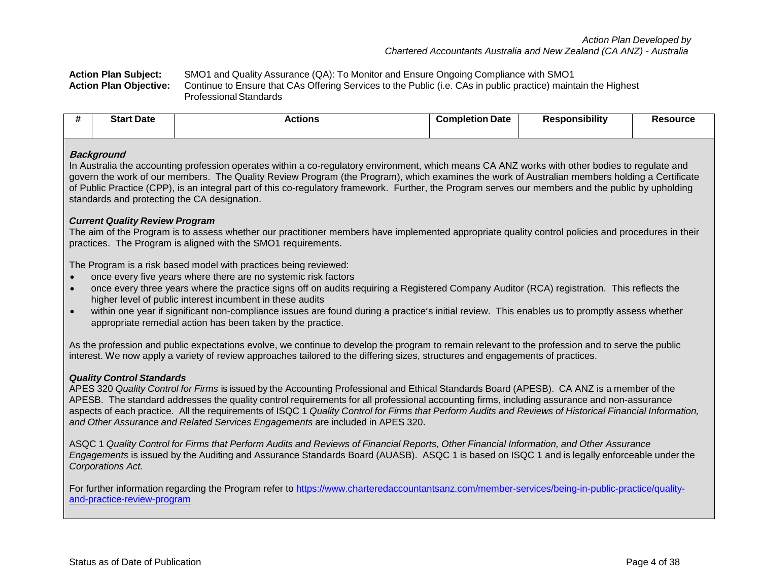**Action Plan Subject:** SMO1 and Quality Assurance (QA): To Monitor and Ensure Ongoing Compliance with SMO1 **Action Plan Objective:** Continue to Ensure that CAs Offering Services to the Public (i.e. CAs in public practice) maintain the Highest ProfessionalStandards

|  | rt Date<br>Start | <b>Actions</b> | <b>Completion Date</b> | .<br>ponsibility | <b>?esource</b> |
|--|------------------|----------------|------------------------|------------------|-----------------|
|--|------------------|----------------|------------------------|------------------|-----------------|

#### **Background**

In Australia the accounting profession operates within a co-regulatory environment, which means CA ANZ works with other bodies to regulate and govern the work of our members. The Quality Review Program (the Program), which examines the work of Australian members holding a Certificate of Public Practice (CPP), is an integral part of this co-regulatory framework. Further, the Program serves our members and the public by upholding standards and protecting the CA designation.

### *Current Quality Review Program*

The aim of the Program is to assess whether our practitioner members have implemented appropriate quality control policies and procedures in their practices. The Program is aligned with the SMO1 requirements.

The Program is a risk based model with practices being reviewed:

- once every five years where there are no systemic risk factors
- once every three years where the practice signs off on audits requiring a Registered Company Auditor (RCA) registration. This reflects the higher level of public interest incumbent in these audits
- within one year if significant non-compliance issues are found during a practice's initial review. This enables us to promptly assess whether appropriate remedial action has been taken by the practice.

As the profession and public expectations evolve, we continue to develop the program to remain relevant to the profession and to serve the public interest. We now apply a variety of review approaches tailored to the differing sizes, structures and engagements of practices.

## *Quality Control Standards*

APES 320 *Quality Control for Firms* is issued by the Accounting Professional and Ethical Standards Board (APESB). CA ANZ is a member of the APESB. The standard addresses the quality control requirements for all professional accounting firms, including assurance and non-assurance aspects of each practice. All the requirements of ISQC 1 Quality Control for Firms that Perform Audits and Reviews of Historical Financial Information, *and Other Assurance and Related Services Engagements* are included in APES 320.

ASQC 1 Quality Control for Firms that Perform Audits and Reviews of Financial Reports, Other Financial Information, and Other Assurance *Engagements* is issued by the Auditing and Assurance Standards Board (AUASB).ASQC 1 is based on ISQC 1 and is legally enforceable under the *Corporations Act.*

For further information regarding the Program refer to https://www.charteredaccountantsanz.com/member-services/being-in-public-practice/qualityand-practice-review-program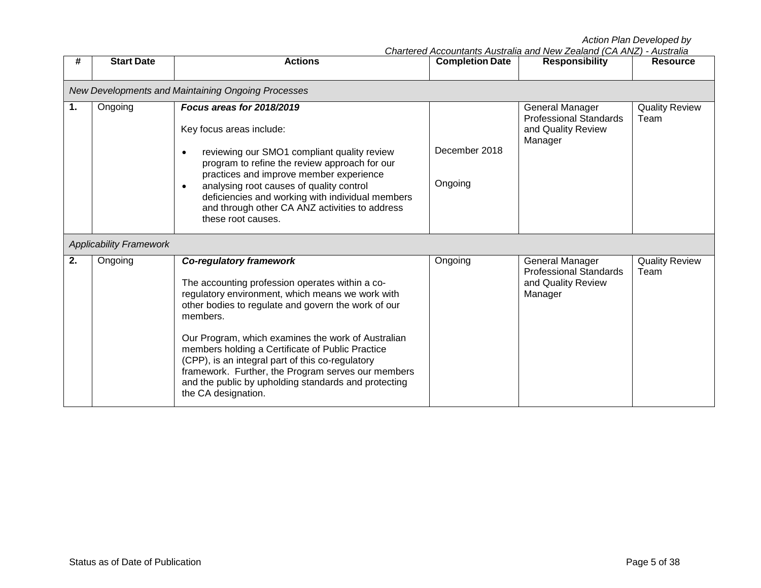|                |                                                    | Action Plan Developed by<br>Chartered Accountants Australia and New Zealand (CA ANZ) - Australia                                                                                                                                                                                                                                                                                                                                                                                                            |                        |                                                                                   |                               |  |  |
|----------------|----------------------------------------------------|-------------------------------------------------------------------------------------------------------------------------------------------------------------------------------------------------------------------------------------------------------------------------------------------------------------------------------------------------------------------------------------------------------------------------------------------------------------------------------------------------------------|------------------------|-----------------------------------------------------------------------------------|-------------------------------|--|--|
| #              | <b>Start Date</b>                                  | <b>Actions</b>                                                                                                                                                                                                                                                                                                                                                                                                                                                                                              | <b>Completion Date</b> | <b>Responsibility</b>                                                             | <b>Resource</b>               |  |  |
|                | New Developments and Maintaining Ongoing Processes |                                                                                                                                                                                                                                                                                                                                                                                                                                                                                                             |                        |                                                                                   |                               |  |  |
| $\mathbf{1}$ . | Ongoing                                            | Focus areas for 2018/2019<br>Key focus areas include:                                                                                                                                                                                                                                                                                                                                                                                                                                                       |                        | General Manager<br><b>Professional Standards</b><br>and Quality Review<br>Manager | <b>Quality Review</b><br>Team |  |  |
|                |                                                    | reviewing our SMO1 compliant quality review<br>program to refine the review approach for our<br>practices and improve member experience                                                                                                                                                                                                                                                                                                                                                                     | December 2018          |                                                                                   |                               |  |  |
|                |                                                    | analysing root causes of quality control<br>deficiencies and working with individual members<br>and through other CA ANZ activities to address<br>these root causes.                                                                                                                                                                                                                                                                                                                                        | Ongoing                |                                                                                   |                               |  |  |
|                | <b>Applicability Framework</b>                     |                                                                                                                                                                                                                                                                                                                                                                                                                                                                                                             |                        |                                                                                   |                               |  |  |
| 2.             | Ongoing                                            | <b>Co-regulatory framework</b><br>The accounting profession operates within a co-<br>regulatory environment, which means we work with<br>other bodies to regulate and govern the work of our<br>members.<br>Our Program, which examines the work of Australian<br>members holding a Certificate of Public Practice<br>(CPP), is an integral part of this co-regulatory<br>framework. Further, the Program serves our members<br>and the public by upholding standards and protecting<br>the CA designation. | Ongoing                | General Manager<br><b>Professional Standards</b><br>and Quality Review<br>Manager | <b>Quality Review</b><br>Team |  |  |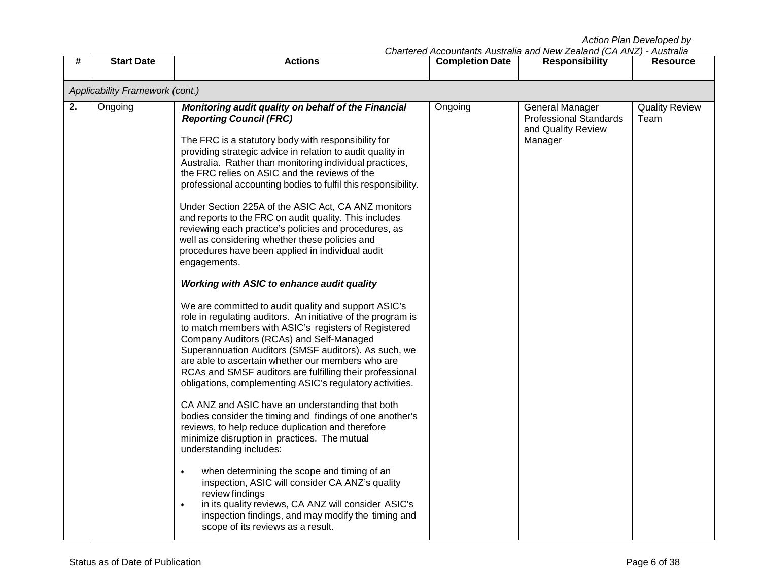|  | Chartered Accountants Australia and New Zealand (CA ANZ) - Australia |  |
|--|----------------------------------------------------------------------|--|
|  |                                                                      |  |

| #  | <b>Start Date</b>               | <b>Actions</b>                                                                                                                                                                                                                                                                                                                                                                                                                                                                                           | <b>Completion Date</b> | Charleigu Accountains Australia and New Zealand (CA ANZ) - Australia<br><b>Responsibility</b> | <b>Resource</b>               |  |  |
|----|---------------------------------|----------------------------------------------------------------------------------------------------------------------------------------------------------------------------------------------------------------------------------------------------------------------------------------------------------------------------------------------------------------------------------------------------------------------------------------------------------------------------------------------------------|------------------------|-----------------------------------------------------------------------------------------------|-------------------------------|--|--|
|    | Applicability Framework (cont.) |                                                                                                                                                                                                                                                                                                                                                                                                                                                                                                          |                        |                                                                                               |                               |  |  |
| 2. | Ongoing                         | Monitoring audit quality on behalf of the Financial<br><b>Reporting Council (FRC)</b><br>The FRC is a statutory body with responsibility for<br>providing strategic advice in relation to audit quality in<br>Australia. Rather than monitoring individual practices,<br>the FRC relies on ASIC and the reviews of the<br>professional accounting bodies to fulfil this responsibility.<br>Under Section 225A of the ASIC Act, CA ANZ monitors<br>and reports to the FRC on audit quality. This includes | Ongoing                | <b>General Manager</b><br><b>Professional Standards</b><br>and Quality Review<br>Manager      | <b>Quality Review</b><br>Team |  |  |
|    |                                 | reviewing each practice's policies and procedures, as<br>well as considering whether these policies and<br>procedures have been applied in individual audit<br>engagements.<br><b>Working with ASIC to enhance audit quality</b>                                                                                                                                                                                                                                                                         |                        |                                                                                               |                               |  |  |
|    |                                 | We are committed to audit quality and support ASIC's<br>role in regulating auditors. An initiative of the program is<br>to match members with ASIC's registers of Registered<br>Company Auditors (RCAs) and Self-Managed<br>Superannuation Auditors (SMSF auditors). As such, we<br>are able to ascertain whether our members who are<br>RCAs and SMSF auditors are fulfilling their professional<br>obligations, complementing ASIC's regulatory activities.                                            |                        |                                                                                               |                               |  |  |
|    |                                 | CA ANZ and ASIC have an understanding that both<br>bodies consider the timing and findings of one another's<br>reviews, to help reduce duplication and therefore<br>minimize disruption in practices. The mutual<br>understanding includes:                                                                                                                                                                                                                                                              |                        |                                                                                               |                               |  |  |
|    |                                 | when determining the scope and timing of an<br>$\bullet$<br>inspection, ASIC will consider CA ANZ's quality<br>review findings<br>in its quality reviews, CA ANZ will consider ASIC's<br>$\bullet$<br>inspection findings, and may modify the timing and<br>scope of its reviews as a result.                                                                                                                                                                                                            |                        |                                                                                               |                               |  |  |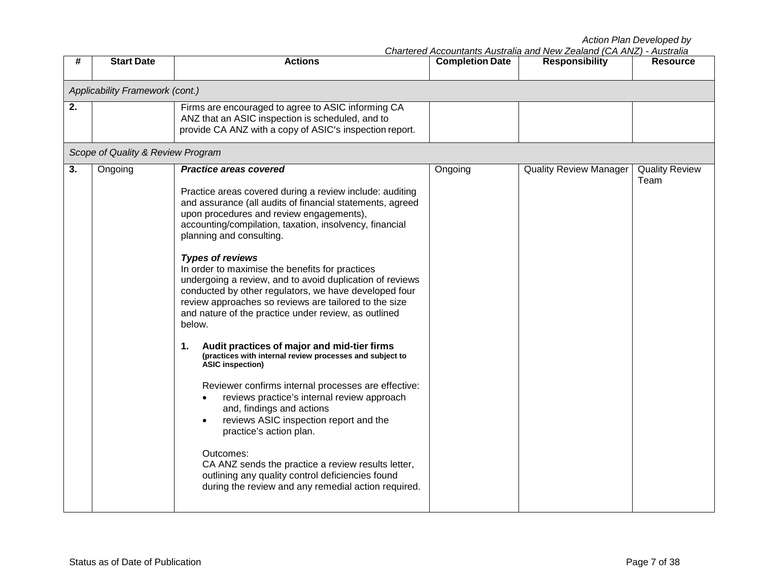| #  | <b>Start Date</b>                 | <b>Actions</b>                                                                                                                                                                                                                                                                                                                                                                                                                                                                                                                                                                                                                                                                                                                                                                                                                                                                                                                                                                                                                                                                                                                                            | <b>Completion Date</b> | <b>Responsibility</b>         | , 1999 911<br><b>Resource</b> |
|----|-----------------------------------|-----------------------------------------------------------------------------------------------------------------------------------------------------------------------------------------------------------------------------------------------------------------------------------------------------------------------------------------------------------------------------------------------------------------------------------------------------------------------------------------------------------------------------------------------------------------------------------------------------------------------------------------------------------------------------------------------------------------------------------------------------------------------------------------------------------------------------------------------------------------------------------------------------------------------------------------------------------------------------------------------------------------------------------------------------------------------------------------------------------------------------------------------------------|------------------------|-------------------------------|-------------------------------|
|    | Applicability Framework (cont.)   |                                                                                                                                                                                                                                                                                                                                                                                                                                                                                                                                                                                                                                                                                                                                                                                                                                                                                                                                                                                                                                                                                                                                                           |                        |                               |                               |
| 2. |                                   | Firms are encouraged to agree to ASIC informing CA<br>ANZ that an ASIC inspection is scheduled, and to<br>provide CA ANZ with a copy of ASIC's inspection report.                                                                                                                                                                                                                                                                                                                                                                                                                                                                                                                                                                                                                                                                                                                                                                                                                                                                                                                                                                                         |                        |                               |                               |
|    | Scope of Quality & Review Program |                                                                                                                                                                                                                                                                                                                                                                                                                                                                                                                                                                                                                                                                                                                                                                                                                                                                                                                                                                                                                                                                                                                                                           |                        |                               |                               |
| 3. | Ongoing                           | <b>Practice areas covered</b><br>Practice areas covered during a review include: auditing<br>and assurance (all audits of financial statements, agreed<br>upon procedures and review engagements),<br>accounting/compilation, taxation, insolvency, financial<br>planning and consulting.<br><b>Types of reviews</b><br>In order to maximise the benefits for practices<br>undergoing a review, and to avoid duplication of reviews<br>conducted by other regulators, we have developed four<br>review approaches so reviews are tailored to the size<br>and nature of the practice under review, as outlined<br>below.<br>Audit practices of major and mid-tier firms<br>1.<br>(practices with internal review processes and subject to<br><b>ASIC inspection)</b><br>Reviewer confirms internal processes are effective:<br>reviews practice's internal review approach<br>and, findings and actions<br>reviews ASIC inspection report and the<br>practice's action plan.<br>Outcomes:<br>CA ANZ sends the practice a review results letter,<br>outlining any quality control deficiencies found<br>during the review and any remedial action required. | Ongoing                | <b>Quality Review Manager</b> | <b>Quality Review</b><br>Team |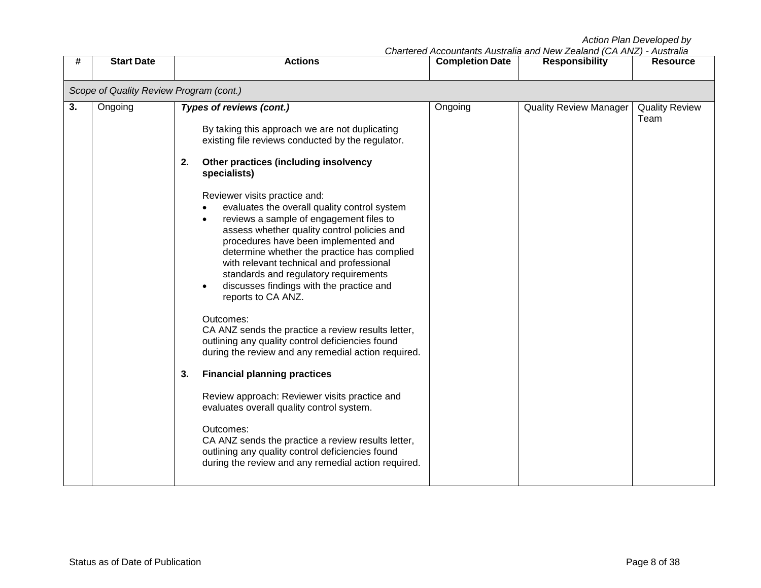| Chartered Accountants Australia and New Zealand (CA ANZ) - Australia |  |  |
|----------------------------------------------------------------------|--|--|
|                                                                      |  |  |

| <b>Start Date</b><br>#                                                                                                                                                                        | <b>Actions</b>                                                                                                                                                                                                                                                                                                                                                                                                                                                                                                                                                                                                                                                                                                                                                                                                                                                                                                                                 | <b>Completion Date</b> | Charlei eu Accountants Australia anu Ivew Zealanu (CA AivZ) - Australia<br><b>Responsibility</b> | <b>Resource</b>               |  |  |  |
|-----------------------------------------------------------------------------------------------------------------------------------------------------------------------------------------------|------------------------------------------------------------------------------------------------------------------------------------------------------------------------------------------------------------------------------------------------------------------------------------------------------------------------------------------------------------------------------------------------------------------------------------------------------------------------------------------------------------------------------------------------------------------------------------------------------------------------------------------------------------------------------------------------------------------------------------------------------------------------------------------------------------------------------------------------------------------------------------------------------------------------------------------------|------------------------|--------------------------------------------------------------------------------------------------|-------------------------------|--|--|--|
| Scope of Quality Review Program (cont.)                                                                                                                                                       |                                                                                                                                                                                                                                                                                                                                                                                                                                                                                                                                                                                                                                                                                                                                                                                                                                                                                                                                                |                        |                                                                                                  |                               |  |  |  |
| 3.<br>Types of reviews (cont.)<br>Ongoing<br>2.<br>specialists)<br>Reviewer visits practice and:<br>reports to CA ANZ.<br>Outcomes:<br><b>Financial planning practices</b><br>3.<br>Outcomes: | By taking this approach we are not duplicating<br>existing file reviews conducted by the regulator.<br>Other practices (including insolvency<br>evaluates the overall quality control system<br>reviews a sample of engagement files to<br>assess whether quality control policies and<br>procedures have been implemented and<br>determine whether the practice has complied<br>with relevant technical and professional<br>standards and regulatory requirements<br>discusses findings with the practice and<br>CA ANZ sends the practice a review results letter,<br>outlining any quality control deficiencies found<br>during the review and any remedial action required.<br>Review approach: Reviewer visits practice and<br>evaluates overall quality control system.<br>CA ANZ sends the practice a review results letter,<br>outlining any quality control deficiencies found<br>during the review and any remedial action required. | Ongoing                | <b>Quality Review Manager</b>                                                                    | <b>Quality Review</b><br>Team |  |  |  |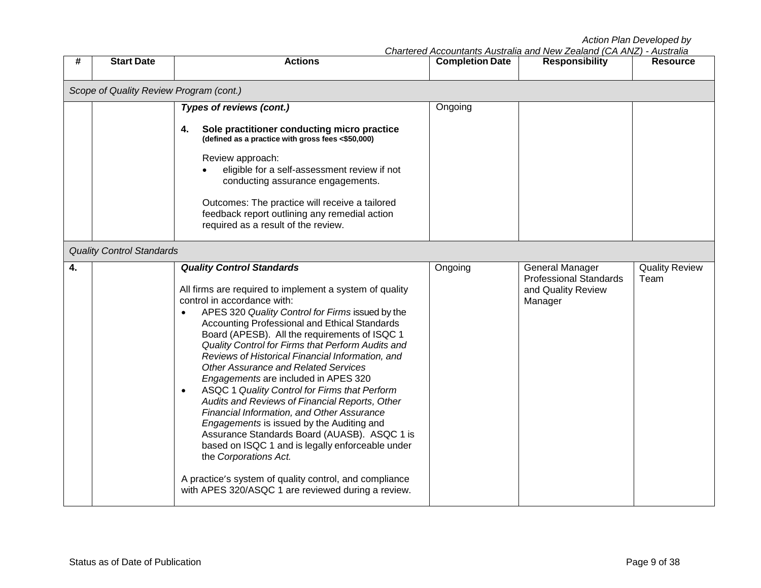| #                                       | <b>Start Date</b>                | <b>Actions</b>                                                                                                                                                                                                                                                                                                                                                                                                                                                                                                                                                                                                                                                                                                                                                                                                                                                                                                                           | <b>Completion Date</b> | onanched Accountains Additional and New Zealand (OA Anz)<br><b>Responsibility</b> | Ausu alla<br><b>Resource</b>  |  |  |  |
|-----------------------------------------|----------------------------------|------------------------------------------------------------------------------------------------------------------------------------------------------------------------------------------------------------------------------------------------------------------------------------------------------------------------------------------------------------------------------------------------------------------------------------------------------------------------------------------------------------------------------------------------------------------------------------------------------------------------------------------------------------------------------------------------------------------------------------------------------------------------------------------------------------------------------------------------------------------------------------------------------------------------------------------|------------------------|-----------------------------------------------------------------------------------|-------------------------------|--|--|--|
| Scope of Quality Review Program (cont.) |                                  |                                                                                                                                                                                                                                                                                                                                                                                                                                                                                                                                                                                                                                                                                                                                                                                                                                                                                                                                          |                        |                                                                                   |                               |  |  |  |
|                                         |                                  | <b>Types of reviews (cont.)</b><br>Sole practitioner conducting micro practice<br>4.<br>(defined as a practice with gross fees <\$50,000)<br>Review approach:<br>eligible for a self-assessment review if not<br>conducting assurance engagements.<br>Outcomes: The practice will receive a tailored<br>feedback report outlining any remedial action<br>required as a result of the review.                                                                                                                                                                                                                                                                                                                                                                                                                                                                                                                                             | Ongoing                |                                                                                   |                               |  |  |  |
|                                         | <b>Quality Control Standards</b> |                                                                                                                                                                                                                                                                                                                                                                                                                                                                                                                                                                                                                                                                                                                                                                                                                                                                                                                                          |                        |                                                                                   |                               |  |  |  |
| 4.                                      |                                  | <b>Quality Control Standards</b><br>All firms are required to implement a system of quality<br>control in accordance with:<br>APES 320 Quality Control for Firms issued by the<br>Accounting Professional and Ethical Standards<br>Board (APESB). All the requirements of ISQC 1<br>Quality Control for Firms that Perform Audits and<br>Reviews of Historical Financial Information, and<br><b>Other Assurance and Related Services</b><br>Engagements are included in APES 320<br>ASQC 1 Quality Control for Firms that Perform<br>$\bullet$<br>Audits and Reviews of Financial Reports, Other<br>Financial Information, and Other Assurance<br>Engagements is issued by the Auditing and<br>Assurance Standards Board (AUASB). ASQC 1 is<br>based on ISQC 1 and is legally enforceable under<br>the Corporations Act.<br>A practice's system of quality control, and compliance<br>with APES 320/ASQC 1 are reviewed during a review. | Ongoing                | General Manager<br><b>Professional Standards</b><br>and Quality Review<br>Manager | <b>Quality Review</b><br>Team |  |  |  |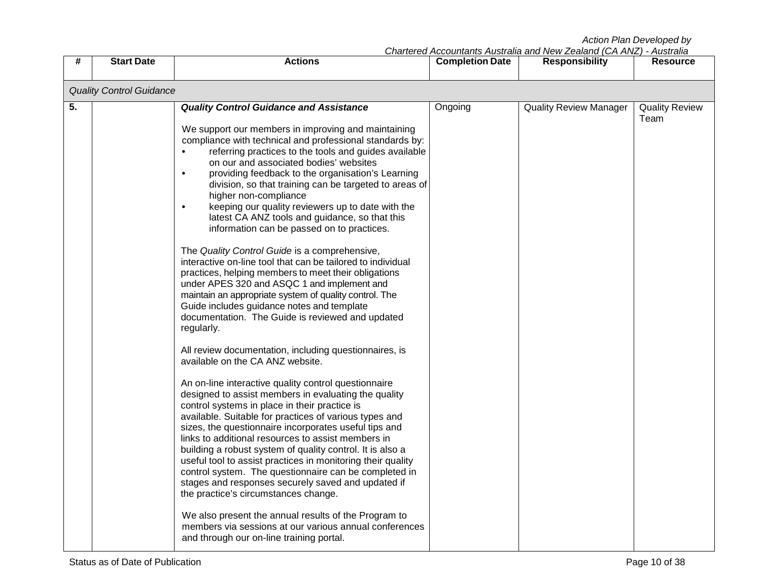|    |                                 |                                                                                                                                                                                                                                                                                                                                                                                                                                                                                                                                                                                                                                                                                                                                                                                                                                                                                                                                                                                                                                                                                                                                                                                                                                                                                                                                                                                                                                                                                                                                                                                                                                                                                                                                                                                                                                                                                                    |                        | Chartered Accountants Australia and New Zealand (CA ANZ) - Australia |                               |
|----|---------------------------------|----------------------------------------------------------------------------------------------------------------------------------------------------------------------------------------------------------------------------------------------------------------------------------------------------------------------------------------------------------------------------------------------------------------------------------------------------------------------------------------------------------------------------------------------------------------------------------------------------------------------------------------------------------------------------------------------------------------------------------------------------------------------------------------------------------------------------------------------------------------------------------------------------------------------------------------------------------------------------------------------------------------------------------------------------------------------------------------------------------------------------------------------------------------------------------------------------------------------------------------------------------------------------------------------------------------------------------------------------------------------------------------------------------------------------------------------------------------------------------------------------------------------------------------------------------------------------------------------------------------------------------------------------------------------------------------------------------------------------------------------------------------------------------------------------------------------------------------------------------------------------------------------------|------------------------|----------------------------------------------------------------------|-------------------------------|
| #  | <b>Start Date</b>               | <b>Actions</b>                                                                                                                                                                                                                                                                                                                                                                                                                                                                                                                                                                                                                                                                                                                                                                                                                                                                                                                                                                                                                                                                                                                                                                                                                                                                                                                                                                                                                                                                                                                                                                                                                                                                                                                                                                                                                                                                                     | <b>Completion Date</b> | <b>Responsibility</b>                                                | <b>Resource</b>               |
|    | <b>Quality Control Guidance</b> |                                                                                                                                                                                                                                                                                                                                                                                                                                                                                                                                                                                                                                                                                                                                                                                                                                                                                                                                                                                                                                                                                                                                                                                                                                                                                                                                                                                                                                                                                                                                                                                                                                                                                                                                                                                                                                                                                                    |                        |                                                                      |                               |
| 5. |                                 | <b>Quality Control Guidance and Assistance</b><br>We support our members in improving and maintaining<br>compliance with technical and professional standards by:<br>referring practices to the tools and guides available<br>$\bullet$<br>on our and associated bodies' websites<br>providing feedback to the organisation's Learning<br>$\bullet$<br>division, so that training can be targeted to areas of<br>higher non-compliance<br>keeping our quality reviewers up to date with the<br>$\bullet$<br>latest CA ANZ tools and guidance, so that this<br>information can be passed on to practices.<br>The Quality Control Guide is a comprehensive,<br>interactive on-line tool that can be tailored to individual<br>practices, helping members to meet their obligations<br>under APES 320 and ASQC 1 and implement and<br>maintain an appropriate system of quality control. The<br>Guide includes guidance notes and template<br>documentation. The Guide is reviewed and updated<br>regularly.<br>All review documentation, including questionnaires, is<br>available on the CA ANZ website.<br>An on-line interactive quality control questionnaire<br>designed to assist members in evaluating the quality<br>control systems in place in their practice is<br>available. Suitable for practices of various types and<br>sizes, the questionnaire incorporates useful tips and<br>links to additional resources to assist members in<br>building a robust system of quality control. It is also a<br>useful tool to assist practices in monitoring their quality<br>control system. The questionnaire can be completed in<br>stages and responses securely saved and updated if<br>the practice's circumstances change.<br>We also present the annual results of the Program to<br>members via sessions at our various annual conferences<br>and through our on-line training portal. | Ongoing                | <b>Quality Review Manager</b>                                        | <b>Quality Review</b><br>Team |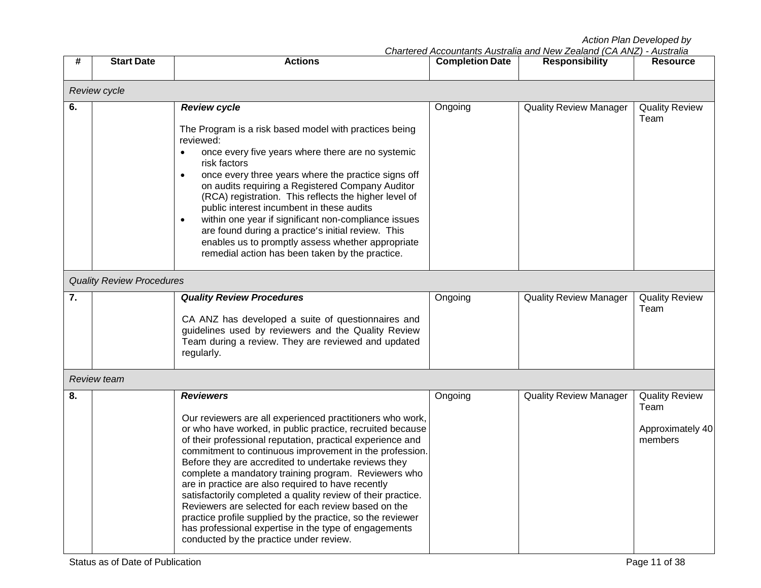|    |                                  |                                                                                                                                                                                                                                                                                                                                                                                                                                                                                                                                                                                                                                                                                                                                    |                        | Chartered Accountants Australia and New Zealand (CA ANZ) - Australia |                                                              |
|----|----------------------------------|------------------------------------------------------------------------------------------------------------------------------------------------------------------------------------------------------------------------------------------------------------------------------------------------------------------------------------------------------------------------------------------------------------------------------------------------------------------------------------------------------------------------------------------------------------------------------------------------------------------------------------------------------------------------------------------------------------------------------------|------------------------|----------------------------------------------------------------------|--------------------------------------------------------------|
| #  | <b>Start Date</b>                | <b>Actions</b>                                                                                                                                                                                                                                                                                                                                                                                                                                                                                                                                                                                                                                                                                                                     | <b>Completion Date</b> | <b>Responsibility</b>                                                | <b>Resource</b>                                              |
|    | <b>Review cycle</b>              |                                                                                                                                                                                                                                                                                                                                                                                                                                                                                                                                                                                                                                                                                                                                    |                        |                                                                      |                                                              |
| 6. |                                  | <b>Review cycle</b><br>The Program is a risk based model with practices being<br>reviewed:<br>once every five years where there are no systemic<br>$\bullet$<br>risk factors<br>once every three years where the practice signs off<br>$\bullet$<br>on audits requiring a Registered Company Auditor<br>(RCA) registration. This reflects the higher level of<br>public interest incumbent in these audits<br>within one year if significant non-compliance issues<br>$\bullet$<br>are found during a practice's initial review. This<br>enables us to promptly assess whether appropriate<br>remedial action has been taken by the practice.                                                                                      | Ongoing                | <b>Quality Review Manager</b>                                        | <b>Quality Review</b><br>Team                                |
|    | <b>Quality Review Procedures</b> |                                                                                                                                                                                                                                                                                                                                                                                                                                                                                                                                                                                                                                                                                                                                    |                        |                                                                      |                                                              |
| 7. |                                  | <b>Quality Review Procedures</b><br>CA ANZ has developed a suite of questionnaires and<br>guidelines used by reviewers and the Quality Review<br>Team during a review. They are reviewed and updated<br>regularly.                                                                                                                                                                                                                                                                                                                                                                                                                                                                                                                 | Ongoing                | <b>Quality Review Manager</b>                                        | <b>Quality Review</b><br>Team                                |
|    | <b>Review team</b>               |                                                                                                                                                                                                                                                                                                                                                                                                                                                                                                                                                                                                                                                                                                                                    |                        |                                                                      |                                                              |
| 8. |                                  | <b>Reviewers</b><br>Our reviewers are all experienced practitioners who work,<br>or who have worked, in public practice, recruited because<br>of their professional reputation, practical experience and<br>commitment to continuous improvement in the profession.<br>Before they are accredited to undertake reviews they<br>complete a mandatory training program. Reviewers who<br>are in practice are also required to have recently<br>satisfactorily completed a quality review of their practice.<br>Reviewers are selected for each review based on the<br>practice profile supplied by the practice, so the reviewer<br>has professional expertise in the type of engagements<br>conducted by the practice under review. | Ongoing                | <b>Quality Review Manager</b>                                        | <b>Quality Review</b><br>Team<br>Approximately 40<br>members |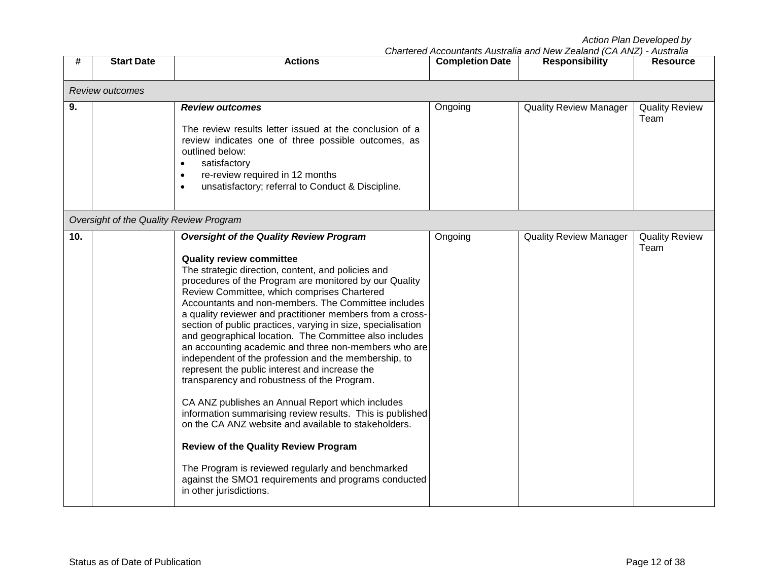|  | Chartered Accountants Australia and New Zealand (CA ANZ) - Australia |  |
|--|----------------------------------------------------------------------|--|
|  |                                                                      |  |

| #   | <b>Start Date</b>                       | <b>Actions</b>                                                                                                                                                                                                                                                                                                                                                                                                                                                                                                                                                                                                                                                                                                                                                                                                                                                                                                                                                                                                                                                                  | <b>Completion Date</b> | Charlei eu Accountants Australia anu Ivew Zealanu (CA AivZ) - Australia<br><b>Responsibility</b> | <b>Resource</b>               |
|-----|-----------------------------------------|---------------------------------------------------------------------------------------------------------------------------------------------------------------------------------------------------------------------------------------------------------------------------------------------------------------------------------------------------------------------------------------------------------------------------------------------------------------------------------------------------------------------------------------------------------------------------------------------------------------------------------------------------------------------------------------------------------------------------------------------------------------------------------------------------------------------------------------------------------------------------------------------------------------------------------------------------------------------------------------------------------------------------------------------------------------------------------|------------------------|--------------------------------------------------------------------------------------------------|-------------------------------|
|     | Review outcomes                         |                                                                                                                                                                                                                                                                                                                                                                                                                                                                                                                                                                                                                                                                                                                                                                                                                                                                                                                                                                                                                                                                                 |                        |                                                                                                  |                               |
| 9.  |                                         | <b>Review outcomes</b><br>The review results letter issued at the conclusion of a<br>review indicates one of three possible outcomes, as<br>outlined below:<br>satisfactory<br>$\bullet$<br>re-review required in 12 months<br>$\bullet$<br>unsatisfactory; referral to Conduct & Discipline.<br>$\bullet$                                                                                                                                                                                                                                                                                                                                                                                                                                                                                                                                                                                                                                                                                                                                                                      | Ongoing                | <b>Quality Review Manager</b>                                                                    | <b>Quality Review</b><br>Team |
|     | Oversight of the Quality Review Program |                                                                                                                                                                                                                                                                                                                                                                                                                                                                                                                                                                                                                                                                                                                                                                                                                                                                                                                                                                                                                                                                                 |                        |                                                                                                  |                               |
| 10. |                                         | <b>Oversight of the Quality Review Program</b><br><b>Quality review committee</b><br>The strategic direction, content, and policies and<br>procedures of the Program are monitored by our Quality<br>Review Committee, which comprises Chartered<br>Accountants and non-members. The Committee includes<br>a quality reviewer and practitioner members from a cross-<br>section of public practices, varying in size, specialisation<br>and geographical location. The Committee also includes<br>an accounting academic and three non-members who are<br>independent of the profession and the membership, to<br>represent the public interest and increase the<br>transparency and robustness of the Program.<br>CA ANZ publishes an Annual Report which includes<br>information summarising review results. This is published<br>on the CA ANZ website and available to stakeholders.<br><b>Review of the Quality Review Program</b><br>The Program is reviewed regularly and benchmarked<br>against the SMO1 requirements and programs conducted<br>in other jurisdictions. | Ongoing                | <b>Quality Review Manager</b>                                                                    | <b>Quality Review</b><br>Team |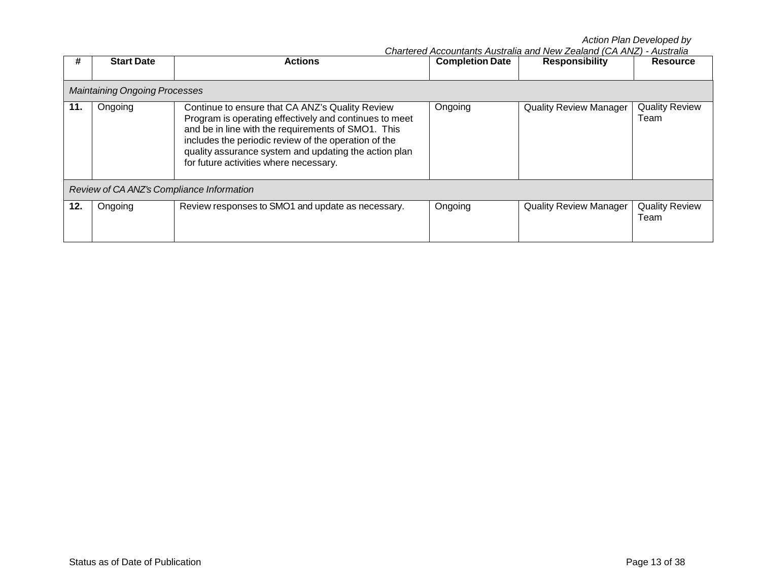|     | <b>Start Date</b>                         |                                                                                                                                                                                                                                                                                                                            |                        | Chartered Accountants Australia and New Zealand (CA ANZ) - Australia |                               |  |  |  |
|-----|-------------------------------------------|----------------------------------------------------------------------------------------------------------------------------------------------------------------------------------------------------------------------------------------------------------------------------------------------------------------------------|------------------------|----------------------------------------------------------------------|-------------------------------|--|--|--|
| #   |                                           | <b>Actions</b>                                                                                                                                                                                                                                                                                                             | <b>Completion Date</b> | <b>Responsibility</b>                                                | <b>Resource</b>               |  |  |  |
|     |                                           |                                                                                                                                                                                                                                                                                                                            |                        |                                                                      |                               |  |  |  |
|     | <b>Maintaining Ongoing Processes</b>      |                                                                                                                                                                                                                                                                                                                            |                        |                                                                      |                               |  |  |  |
| 11. | Ongoing                                   | Continue to ensure that CA ANZ's Quality Review<br>Program is operating effectively and continues to meet<br>and be in line with the requirements of SMO1. This<br>includes the periodic review of the operation of the<br>quality assurance system and updating the action plan<br>for future activities where necessary. | Ongoing                | <b>Quality Review Manager</b>                                        | <b>Quality Review</b><br>Team |  |  |  |
|     | Review of CA ANZ's Compliance Information |                                                                                                                                                                                                                                                                                                                            |                        |                                                                      |                               |  |  |  |
| 12. | Ongoing                                   | Review responses to SMO1 and update as necessary.                                                                                                                                                                                                                                                                          | Ongoing                | <b>Quality Review Manager</b>                                        | <b>Quality Review</b><br>Team |  |  |  |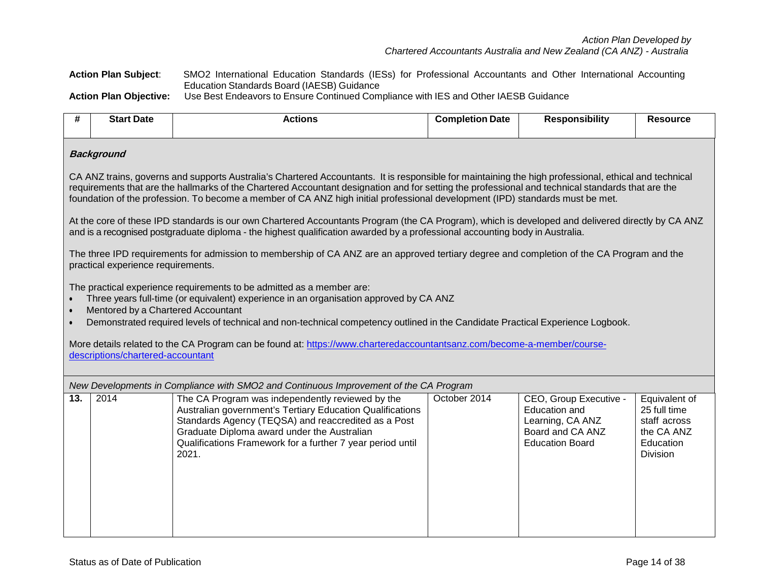*Action Plan Developed by Chartered Accountants Australia and New Zealand (CA ANZ) - Australia*

**Action Plan Subject**: SMO2 International Education Standards (IESs) for Professional Accountants and Other International Accounting Education Standards Board (IAESB) Guidance **Action Plan Objective:** Use Best Endeavors to Ensure Continued Compliance with IES and Other IAESB Guidance

**# Start Date Actions Completion Date Responsibility Resource Background** CA ANZ trains, governs and supports Australia's Chartered Accountants. It is responsible for maintaining the high professional, ethical and technical requirements that are the hallmarks of the Chartered Accountant designation and for setting the professional and technical standards that are the foundation of the profession. To become a member of CA ANZ high initial professional development (IPD) standards must be met. At the core of these IPD standards is our own Chartered Accountants Program (the CA Program), which is developed and delivered directly by CA ANZ and is a recognised postgraduate diploma - the highest qualification awarded by a professional accounting body in Australia. The three IPD requirements for admission to membership of CA ANZ are an approved tertiary degree and completion of the CA Program and the practical experience requirements. The practical experience requirements to be admitted as a member are: • Three years full-time (or equivalent) experience in an organisation approved by CA ANZ • Mentored by a Chartered Accountant • Demonstrated required levels of technical and non-technical competency outlined in the Candidate Practical Experience Logbook. More details related to the CA Program can be found at: https://www.charteredaccountantsanz.com/become-a-member/coursedescriptions/chartered-accountant *New Developments in Compliance with SMO2 and Continuous Improvement of the CA Program* **13.** 2014 The CA Program was independently reviewed by the Australian government's Tertiary Education Qualifications Standards Agency (TEQSA) and reaccredited as a Post Graduate Diploma award under the Australian Qualifications Framework for a further 7 year period until 2021. October 2014 CEO, Group Executive - Education and Learning, CA ANZ Board and CA ANZ Education Board Equivalent of 25 full time staff across the CA ANZ **Education** Division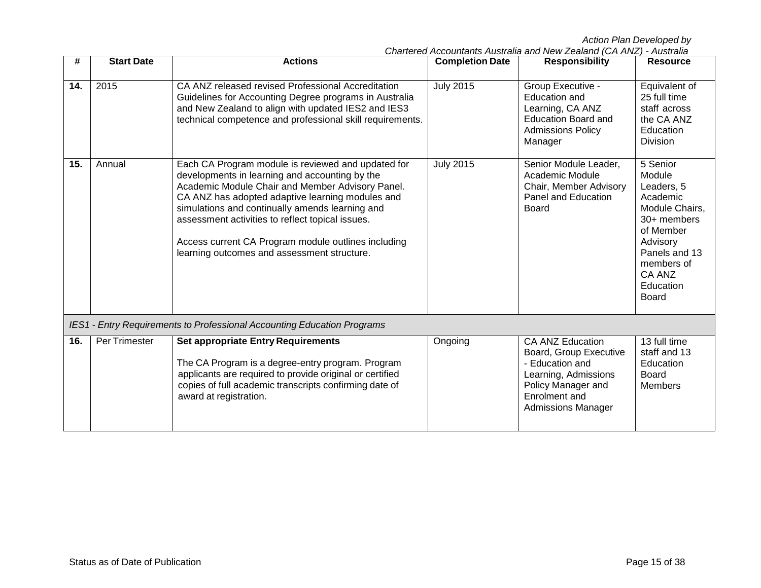|     |                   |                                                                                                                                                                                                                                                                                                                                                                                                                           | Chartered Accountants Australia and New Zealand (CA ANZ) - Australia |                                                                                                                      |                                                                                                                         |  |
|-----|-------------------|---------------------------------------------------------------------------------------------------------------------------------------------------------------------------------------------------------------------------------------------------------------------------------------------------------------------------------------------------------------------------------------------------------------------------|----------------------------------------------------------------------|----------------------------------------------------------------------------------------------------------------------|-------------------------------------------------------------------------------------------------------------------------|--|
| #   | <b>Start Date</b> | <b>Actions</b>                                                                                                                                                                                                                                                                                                                                                                                                            | <b>Completion Date</b>                                               | <b>Responsibility</b>                                                                                                | <b>Resource</b>                                                                                                         |  |
| 14. | 2015              | CA ANZ released revised Professional Accreditation<br>Guidelines for Accounting Degree programs in Australia<br>and New Zealand to align with updated IES2 and IES3<br>technical competence and professional skill requirements.                                                                                                                                                                                          | <b>July 2015</b>                                                     | Group Executive -<br>Education and<br>Learning, CA ANZ<br>Education Board and<br><b>Admissions Policy</b><br>Manager | Equivalent of<br>25 full time<br>staff across<br>the CA ANZ<br>Education<br><b>Division</b>                             |  |
| 15. | Annual            | Each CA Program module is reviewed and updated for<br>developments in learning and accounting by the<br>Academic Module Chair and Member Advisory Panel.<br>CA ANZ has adopted adaptive learning modules and<br>simulations and continually amends learning and<br>assessment activities to reflect topical issues.<br>Access current CA Program module outlines including<br>learning outcomes and assessment structure. | <b>July 2015</b>                                                     | Senior Module Leader,<br>Academic Module<br>Chair, Member Advisory<br>Panel and Education<br>Board                   | 5 Senior<br>Module<br>Leaders, 5<br>Academic<br>Module Chairs,<br>30+ members<br>of Member<br>Advisory<br>Panels and 13 |  |

*IES1 - Entry Requirements to Professional Accounting Education Programs*

award at registration.

The CA Program is a degree-entry program. Program applicants are required to provide original or certified copies of full academic transcripts confirming date of

**16.** Per Trimester **Set appropriate Entry Requirements**

Ongoing CA ANZ Education

Board, Group Executive

- Education and Learning, Admissions Policy Manager and Enrolment and Admissions Manager

members of CA ANZ **Education** Board

13 full time staff and 13 Education Board Members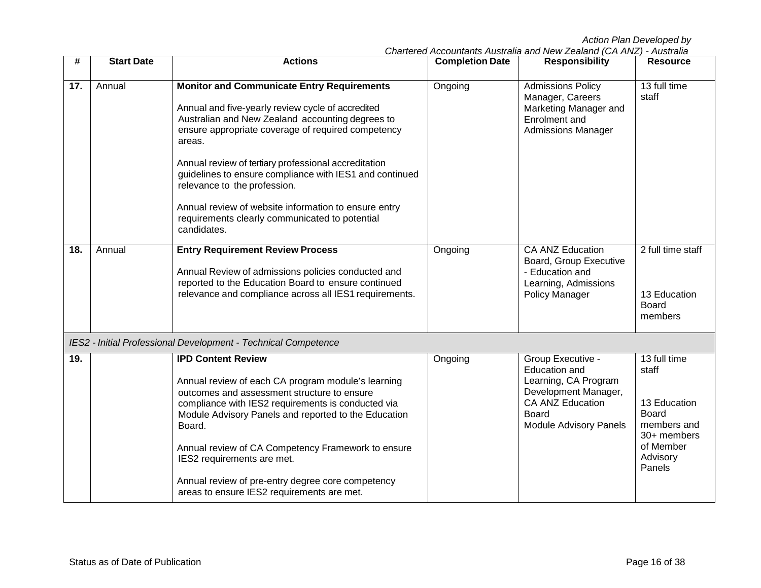|  | Chartered Accountants Australia and New Zealand (CA ANZ) - Australia |  |
|--|----------------------------------------------------------------------|--|
|  |                                                                      |  |

| #   | <b>Start Date</b> | <b>Actions</b>                                                                                                                                                                                                                                                                                                                                                                                                                                                                                         | <b>Completion Date</b> | <b>Responsibility</b>                                                                                                                                          | <b>Resource</b>                                                                                                        |
|-----|-------------------|--------------------------------------------------------------------------------------------------------------------------------------------------------------------------------------------------------------------------------------------------------------------------------------------------------------------------------------------------------------------------------------------------------------------------------------------------------------------------------------------------------|------------------------|----------------------------------------------------------------------------------------------------------------------------------------------------------------|------------------------------------------------------------------------------------------------------------------------|
| 17. | Annual            | <b>Monitor and Communicate Entry Requirements</b><br>Annual and five-yearly review cycle of accredited<br>Australian and New Zealand accounting degrees to<br>ensure appropriate coverage of required competency<br>areas.<br>Annual review of tertiary professional accreditation<br>guidelines to ensure compliance with IES1 and continued<br>relevance to the profession.<br>Annual review of website information to ensure entry<br>requirements clearly communicated to potential<br>candidates. | Ongoing                | <b>Admissions Policy</b><br>Manager, Careers<br>Marketing Manager and<br>Enrolment and<br><b>Admissions Manager</b>                                            | 13 full time<br>staff                                                                                                  |
| 18. | Annual            | <b>Entry Requirement Review Process</b><br>Annual Review of admissions policies conducted and<br>reported to the Education Board to ensure continued<br>relevance and compliance across all IES1 requirements.                                                                                                                                                                                                                                                                                         | Ongoing                | CA ANZ Education<br>Board, Group Executive<br>- Education and<br>Learning, Admissions<br>Policy Manager                                                        | 2 full time staff<br>13 Education<br><b>Board</b><br>members                                                           |
|     |                   | IES2 - Initial Professional Development - Technical Competence                                                                                                                                                                                                                                                                                                                                                                                                                                         |                        |                                                                                                                                                                |                                                                                                                        |
| 19. |                   | <b>IPD Content Review</b><br>Annual review of each CA program module's learning<br>outcomes and assessment structure to ensure<br>compliance with IES2 requirements is conducted via<br>Module Advisory Panels and reported to the Education<br>Board.<br>Annual review of CA Competency Framework to ensure<br>IES2 requirements are met.<br>Annual review of pre-entry degree core competency<br>areas to ensure IES2 requirements are met.                                                          | Ongoing                | Group Executive -<br>Education and<br>Learning, CA Program<br>Development Manager,<br><b>CA ANZ Education</b><br><b>Board</b><br><b>Module Advisory Panels</b> | 13 full time<br>staff<br>13 Education<br><b>Board</b><br>members and<br>30+ members<br>of Member<br>Advisory<br>Panels |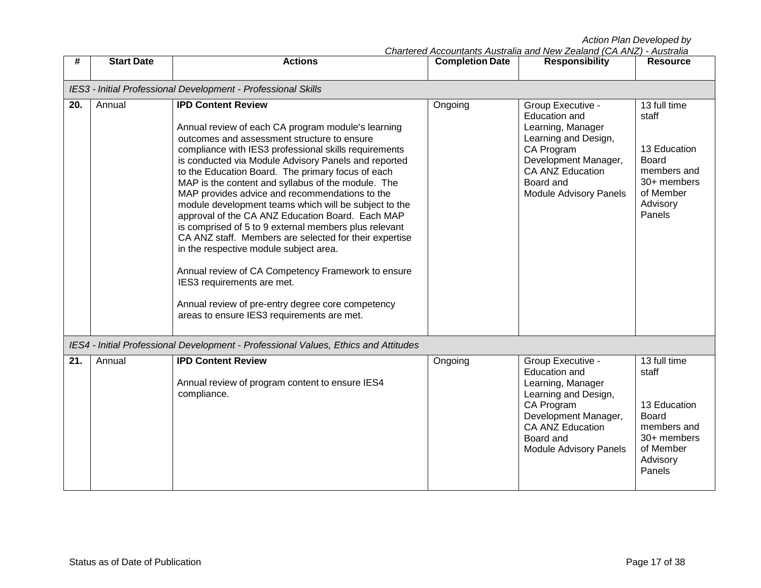|     |                   |                                                                                                                                                                                                                                                                                                                                                                                                                                                                                                                                                                                                                                                                                                                                                                                                                                                                               |                        | Chartered Accountants Australia and New Zealand (CA ANZ) - Australia                                                                                                                           |                                                                                                                        |
|-----|-------------------|-------------------------------------------------------------------------------------------------------------------------------------------------------------------------------------------------------------------------------------------------------------------------------------------------------------------------------------------------------------------------------------------------------------------------------------------------------------------------------------------------------------------------------------------------------------------------------------------------------------------------------------------------------------------------------------------------------------------------------------------------------------------------------------------------------------------------------------------------------------------------------|------------------------|------------------------------------------------------------------------------------------------------------------------------------------------------------------------------------------------|------------------------------------------------------------------------------------------------------------------------|
| #   | <b>Start Date</b> | <b>Actions</b>                                                                                                                                                                                                                                                                                                                                                                                                                                                                                                                                                                                                                                                                                                                                                                                                                                                                | <b>Completion Date</b> | <b>Responsibility</b>                                                                                                                                                                          | <b>Resource</b>                                                                                                        |
|     |                   |                                                                                                                                                                                                                                                                                                                                                                                                                                                                                                                                                                                                                                                                                                                                                                                                                                                                               |                        |                                                                                                                                                                                                |                                                                                                                        |
|     |                   | IES3 - Initial Professional Development - Professional Skills                                                                                                                                                                                                                                                                                                                                                                                                                                                                                                                                                                                                                                                                                                                                                                                                                 |                        |                                                                                                                                                                                                |                                                                                                                        |
| 20. | Annual            | <b>IPD Content Review</b><br>Annual review of each CA program module's learning<br>outcomes and assessment structure to ensure<br>compliance with IES3 professional skills requirements<br>is conducted via Module Advisory Panels and reported<br>to the Education Board. The primary focus of each<br>MAP is the content and syllabus of the module. The<br>MAP provides advice and recommendations to the<br>module development teams which will be subject to the<br>approval of the CA ANZ Education Board. Each MAP<br>is comprised of 5 to 9 external members plus relevant<br>CA ANZ staff. Members are selected for their expertise<br>in the respective module subject area.<br>Annual review of CA Competency Framework to ensure<br>IES3 requirements are met.<br>Annual review of pre-entry degree core competency<br>areas to ensure IES3 requirements are met. | Ongoing                | Group Executive -<br>Education and<br>Learning, Manager<br>Learning and Design,<br>CA Program<br>Development Manager,<br><b>CA ANZ Education</b><br>Board and<br><b>Module Advisory Panels</b> | 13 full time<br>staff<br>13 Education<br><b>Board</b><br>members and<br>30+ members<br>of Member<br>Advisory<br>Panels |
|     |                   | IES4 - Initial Professional Development - Professional Values, Ethics and Attitudes                                                                                                                                                                                                                                                                                                                                                                                                                                                                                                                                                                                                                                                                                                                                                                                           |                        |                                                                                                                                                                                                |                                                                                                                        |
| 21. | Annual            | <b>IPD Content Review</b><br>Annual review of program content to ensure IES4<br>compliance.                                                                                                                                                                                                                                                                                                                                                                                                                                                                                                                                                                                                                                                                                                                                                                                   | Ongoing                | Group Executive -<br>Education and<br>Learning, Manager<br>Learning and Design,<br>CA Program<br>Development Manager,<br>CA ANZ Education<br>Board and<br><b>Module Advisory Panels</b>        | 13 full time<br>staff<br>13 Education<br><b>Board</b><br>members and<br>30+ members<br>of Member<br>Advisory<br>Panels |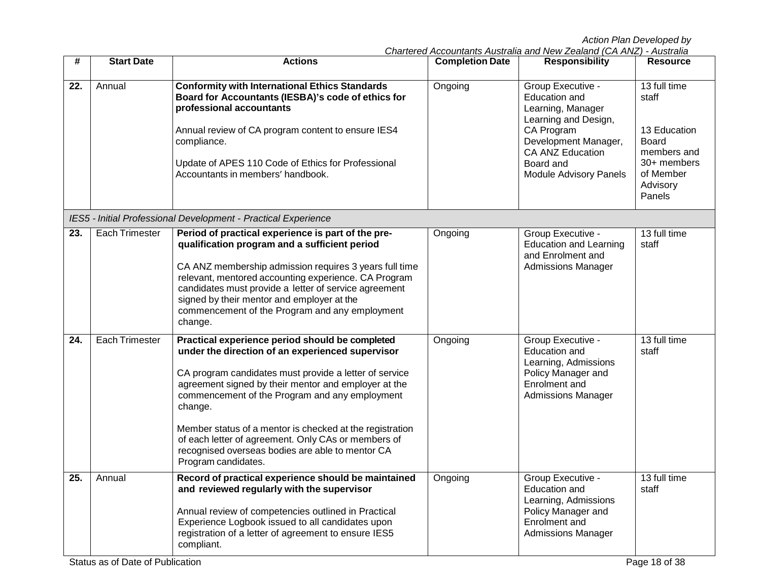| Chartered Accountants Australia and New Zealand (CA ANZ) - Australia |  |  |  |
|----------------------------------------------------------------------|--|--|--|
|                                                                      |  |  |  |

| #   | <b>Start Date</b>     | <b>Actions</b>                                                                                                                                                                                                                                                                                                                                                                                                                                                                   | <b>Completion Date</b> | <b>Responsibility</b>                                                                                                                                                                   | <b>Resource</b>                                                                                                 |
|-----|-----------------------|----------------------------------------------------------------------------------------------------------------------------------------------------------------------------------------------------------------------------------------------------------------------------------------------------------------------------------------------------------------------------------------------------------------------------------------------------------------------------------|------------------------|-----------------------------------------------------------------------------------------------------------------------------------------------------------------------------------------|-----------------------------------------------------------------------------------------------------------------|
| 22. | Annual                | <b>Conformity with International Ethics Standards</b><br>Board for Accountants (IESBA)'s code of ethics for<br>professional accountants<br>Annual review of CA program content to ensure IES4<br>compliance.<br>Update of APES 110 Code of Ethics for Professional<br>Accountants in members' handbook.                                                                                                                                                                          | Ongoing                | Group Executive -<br>Education and<br>Learning, Manager<br>Learning and Design,<br>CA Program<br>Development Manager,<br>CA ANZ Education<br>Board and<br><b>Module Advisory Panels</b> | 13 full time<br>staff<br>13 Education<br>Board<br>members and<br>30+ members<br>of Member<br>Advisory<br>Panels |
|     |                       | IES5 - Initial Professional Development - Practical Experience                                                                                                                                                                                                                                                                                                                                                                                                                   |                        |                                                                                                                                                                                         |                                                                                                                 |
| 23. | <b>Each Trimester</b> | Period of practical experience is part of the pre-<br>qualification program and a sufficient period<br>CA ANZ membership admission requires 3 years full time<br>relevant, mentored accounting experience. CA Program<br>candidates must provide a letter of service agreement<br>signed by their mentor and employer at the<br>commencement of the Program and any employment<br>change.                                                                                        | Ongoing                | Group Executive -<br><b>Education and Learning</b><br>and Enrolment and<br><b>Admissions Manager</b>                                                                                    | 13 full time<br>staff                                                                                           |
| 24. | <b>Each Trimester</b> | Practical experience period should be completed<br>under the direction of an experienced supervisor<br>CA program candidates must provide a letter of service<br>agreement signed by their mentor and employer at the<br>commencement of the Program and any employment<br>change.<br>Member status of a mentor is checked at the registration<br>of each letter of agreement. Only CAs or members of<br>recognised overseas bodies are able to mentor CA<br>Program candidates. | Ongoing                | Group Executive -<br><b>Education and</b><br>Learning, Admissions<br>Policy Manager and<br>Enrolment and<br><b>Admissions Manager</b>                                                   | 13 full time<br>staff                                                                                           |
| 25. | Annual                | Record of practical experience should be maintained<br>and reviewed regularly with the supervisor<br>Annual review of competencies outlined in Practical<br>Experience Logbook issued to all candidates upon<br>registration of a letter of agreement to ensure IES5<br>compliant.                                                                                                                                                                                               | Ongoing                | Group Executive -<br><b>Education and</b><br>Learning, Admissions<br>Policy Manager and<br>Enrolment and<br><b>Admissions Manager</b>                                                   | 13 full time<br>staff                                                                                           |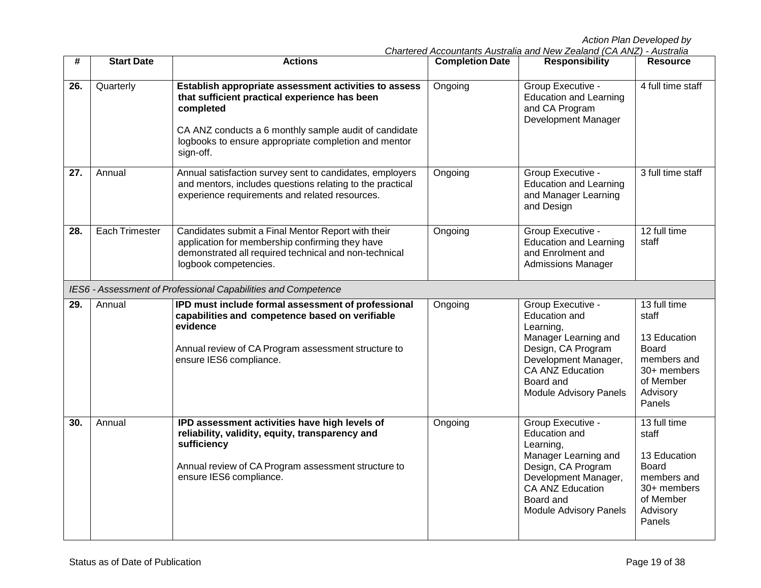| #   | <b>Start Date</b>     | <b>Actions</b>                                                                                                                                                                                                                                    | <b>Completion Date</b> | <b>Responsibility</b>                                                                                                                                                                                 | <b>Resource</b>                                                                                                          |
|-----|-----------------------|---------------------------------------------------------------------------------------------------------------------------------------------------------------------------------------------------------------------------------------------------|------------------------|-------------------------------------------------------------------------------------------------------------------------------------------------------------------------------------------------------|--------------------------------------------------------------------------------------------------------------------------|
| 26. | Quarterly             | Establish appropriate assessment activities to assess<br>that sufficient practical experience has been<br>completed<br>CA ANZ conducts a 6 monthly sample audit of candidate<br>logbooks to ensure appropriate completion and mentor<br>sign-off. | Ongoing                | Group Executive -<br><b>Education and Learning</b><br>and CA Program<br>Development Manager                                                                                                           | 4 full time staff                                                                                                        |
| 27. | Annual                | Annual satisfaction survey sent to candidates, employers<br>and mentors, includes questions relating to the practical<br>experience requirements and related resources.                                                                           | Ongoing                | Group Executive -<br><b>Education and Learning</b><br>and Manager Learning<br>and Design                                                                                                              | 3 full time staff                                                                                                        |
| 28. | <b>Each Trimester</b> | Candidates submit a Final Mentor Report with their<br>application for membership confirming they have<br>demonstrated all required technical and non-technical<br>logbook competencies.                                                           | Ongoing                | Group Executive -<br><b>Education and Learning</b><br>and Enrolment and<br><b>Admissions Manager</b>                                                                                                  | 12 full time<br>staff                                                                                                    |
|     |                       | IES6 - Assessment of Professional Capabilities and Competence                                                                                                                                                                                     |                        |                                                                                                                                                                                                       |                                                                                                                          |
| 29. | Annual                | IPD must include formal assessment of professional<br>capabilities and competence based on verifiable<br>evidence<br>Annual review of CA Program assessment structure to<br>ensure IES6 compliance.                                               | Ongoing                | Group Executive -<br><b>Education and</b><br>Learning,<br>Manager Learning and<br>Design, CA Program<br>Development Manager,<br><b>CA ANZ Education</b><br>Board and<br><b>Module Advisory Panels</b> | 13 full time<br>staff<br>13 Education<br><b>Board</b><br>members and<br>30+ members<br>of Member<br>Advisory<br>Panels   |
| 30. | Annual                | IPD assessment activities have high levels of<br>reliability, validity, equity, transparency and<br>sufficiency<br>Annual review of CA Program assessment structure to<br>ensure IES6 compliance.                                                 | Ongoing                | Group Executive -<br>Education and<br>Learning,<br>Manager Learning and<br>Design, CA Program<br>Development Manager,<br><b>CA ANZ Education</b><br>Board and<br><b>Module Advisory Panels</b>        | $13$ full time<br>staff<br>13 Education<br><b>Board</b><br>members and<br>30+ members<br>of Member<br>Advisory<br>Panels |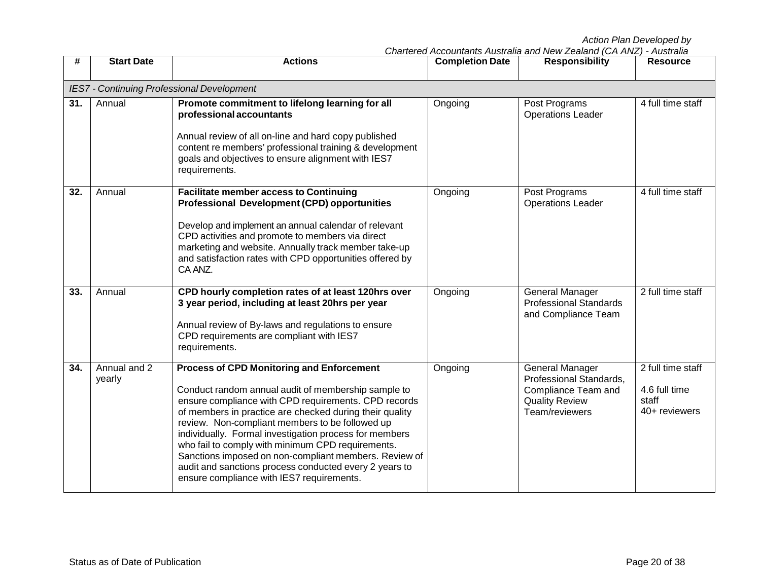| Chartered Accountants Australia and New Zealand (CA ANZ) - Australia |  |  |
|----------------------------------------------------------------------|--|--|
|                                                                      |  |  |

| #   | <b>Start Date</b>                                 | <b>Actions</b>                                                                                                                                                                                                                                                                                                                                                                                                                                                                                                                                               | <b>Completion Date</b> | <b>Responsibility</b>                                                                                               | <b>Resource</b>                                              |  |  |  |  |
|-----|---------------------------------------------------|--------------------------------------------------------------------------------------------------------------------------------------------------------------------------------------------------------------------------------------------------------------------------------------------------------------------------------------------------------------------------------------------------------------------------------------------------------------------------------------------------------------------------------------------------------------|------------------------|---------------------------------------------------------------------------------------------------------------------|--------------------------------------------------------------|--|--|--|--|
|     | <b>IES7 - Continuing Professional Development</b> |                                                                                                                                                                                                                                                                                                                                                                                                                                                                                                                                                              |                        |                                                                                                                     |                                                              |  |  |  |  |
| 31. | Annual                                            | Promote commitment to lifelong learning for all<br>professional accountants<br>Annual review of all on-line and hard copy published<br>content re members' professional training & development<br>goals and objectives to ensure alignment with IES7<br>requirements.                                                                                                                                                                                                                                                                                        | Ongoing                | Post Programs<br><b>Operations Leader</b>                                                                           | 4 full time staff                                            |  |  |  |  |
| 32. | Annual                                            | <b>Facilitate member access to Continuing</b><br><b>Professional Development (CPD) opportunities</b><br>Develop and implement an annual calendar of relevant<br>CPD activities and promote to members via direct<br>marketing and website. Annually track member take-up<br>and satisfaction rates with CPD opportunities offered by<br>CA ANZ.                                                                                                                                                                                                              | Ongoing                | Post Programs<br><b>Operations Leader</b>                                                                           | 4 full time staff                                            |  |  |  |  |
| 33. | Annual                                            | CPD hourly completion rates of at least 120hrs over<br>3 year period, including at least 20hrs per year<br>Annual review of By-laws and regulations to ensure<br>CPD requirements are compliant with IES7<br>requirements.                                                                                                                                                                                                                                                                                                                                   | Ongoing                | <b>General Manager</b><br><b>Professional Standards</b><br>and Compliance Team                                      | 2 full time staff                                            |  |  |  |  |
| 34. | Annual and 2<br>yearly                            | <b>Process of CPD Monitoring and Enforcement</b><br>Conduct random annual audit of membership sample to<br>ensure compliance with CPD requirements. CPD records<br>of members in practice are checked during their quality<br>review. Non-compliant members to be followed up<br>individually. Formal investigation process for members<br>who fail to comply with minimum CPD requirements.<br>Sanctions imposed on non-compliant members. Review of<br>audit and sanctions process conducted every 2 years to<br>ensure compliance with IES7 requirements. | Ongoing                | <b>General Manager</b><br>Professional Standards,<br>Compliance Team and<br><b>Quality Review</b><br>Team/reviewers | 2 full time staff<br>4.6 full time<br>staff<br>40+ reviewers |  |  |  |  |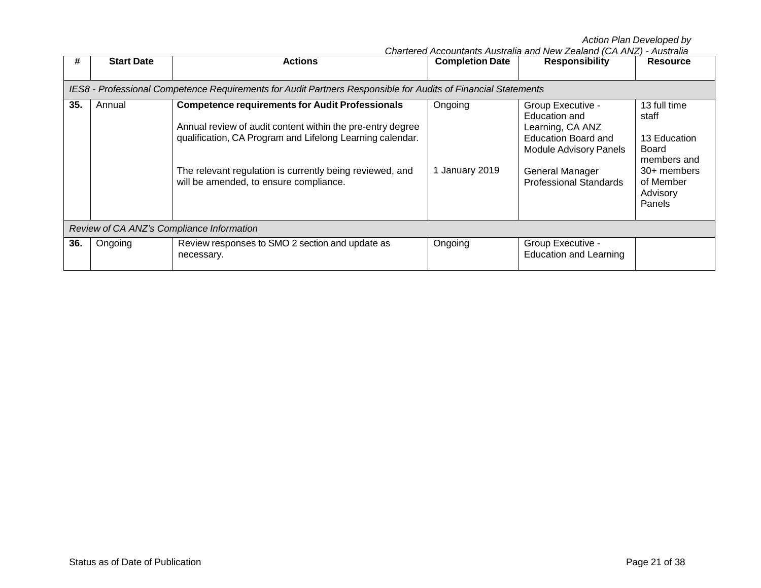|     |                                                                                                               |                                                                                                                                                                                                                                                                                         |                           | Chartered Accountants Australia and New Zealand (CA ANZ) - Australia                                                                                                      |                                                                                                                 |  |  |  |  |
|-----|---------------------------------------------------------------------------------------------------------------|-----------------------------------------------------------------------------------------------------------------------------------------------------------------------------------------------------------------------------------------------------------------------------------------|---------------------------|---------------------------------------------------------------------------------------------------------------------------------------------------------------------------|-----------------------------------------------------------------------------------------------------------------|--|--|--|--|
| #   | <b>Start Date</b>                                                                                             | <b>Actions</b>                                                                                                                                                                                                                                                                          | <b>Completion Date</b>    | <b>Responsibility</b>                                                                                                                                                     | <b>Resource</b>                                                                                                 |  |  |  |  |
|     |                                                                                                               |                                                                                                                                                                                                                                                                                         |                           |                                                                                                                                                                           |                                                                                                                 |  |  |  |  |
|     | IES8 - Professional Competence Requirements for Audit Partners Responsible for Audits of Financial Statements |                                                                                                                                                                                                                                                                                         |                           |                                                                                                                                                                           |                                                                                                                 |  |  |  |  |
| 35. | Annual                                                                                                        | <b>Competence requirements for Audit Professionals</b><br>Annual review of audit content within the pre-entry degree<br>qualification, CA Program and Lifelong Learning calendar.<br>The relevant regulation is currently being reviewed, and<br>will be amended, to ensure compliance. | Ongoing<br>1 January 2019 | Group Executive -<br>Education and<br>Learning, CA ANZ<br><b>Education Board and</b><br><b>Module Advisory Panels</b><br>General Manager<br><b>Professional Standards</b> | 13 full time<br>staff<br>13 Education<br>Board<br>members and<br>30+ members<br>of Member<br>Advisory<br>Panels |  |  |  |  |
|     | Review of CA ANZ's Compliance Information                                                                     |                                                                                                                                                                                                                                                                                         |                           |                                                                                                                                                                           |                                                                                                                 |  |  |  |  |
| 36. | Ongoing                                                                                                       | Review responses to SMO 2 section and update as<br>necessary.                                                                                                                                                                                                                           | Ongoing                   | Group Executive -<br><b>Education and Learning</b>                                                                                                                        |                                                                                                                 |  |  |  |  |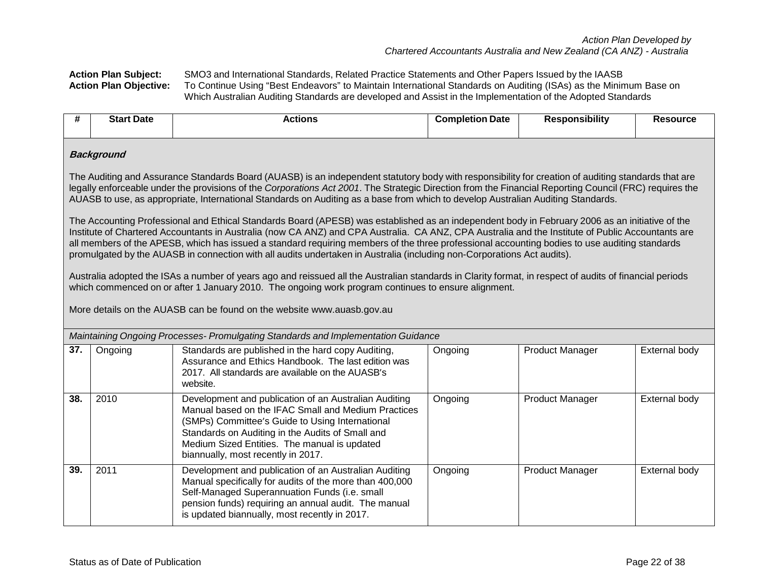**Action Plan Subject:** SMO3 and International Standards, Related Practice Statements and Other Papers Issued by the IAASB To Continue Using "Best Endeavors" to Maintain International Standards on Auditing (ISAs) as the Minimum Base on Which Australian Auditing Standards are developed and Assist in the Implementation of the Adopted Standards

| #                                                                                                                                                                                                                                                                                                                                                                                                                                                 | <b>Start Date</b>                                                                                                                                                                                                                                                                                                                                                                                                                                                                                                                                                                | <b>Actions</b>                                                                                                                                                                                                                                                                                            | <b>Completion Date</b> | <b>Responsibility</b>  | <b>Resource</b> |  |  |  |  |  |
|---------------------------------------------------------------------------------------------------------------------------------------------------------------------------------------------------------------------------------------------------------------------------------------------------------------------------------------------------------------------------------------------------------------------------------------------------|----------------------------------------------------------------------------------------------------------------------------------------------------------------------------------------------------------------------------------------------------------------------------------------------------------------------------------------------------------------------------------------------------------------------------------------------------------------------------------------------------------------------------------------------------------------------------------|-----------------------------------------------------------------------------------------------------------------------------------------------------------------------------------------------------------------------------------------------------------------------------------------------------------|------------------------|------------------------|-----------------|--|--|--|--|--|
|                                                                                                                                                                                                                                                                                                                                                                                                                                                   | <b>Background</b>                                                                                                                                                                                                                                                                                                                                                                                                                                                                                                                                                                |                                                                                                                                                                                                                                                                                                           |                        |                        |                 |  |  |  |  |  |
| The Auditing and Assurance Standards Board (AUASB) is an independent statutory body with responsibility for creation of auditing standards that are<br>legally enforceable under the provisions of the Corporations Act 2001. The Strategic Direction from the Financial Reporting Council (FRC) requires the<br>AUASB to use, as appropriate, International Standards on Auditing as a base from which to develop Australian Auditing Standards. |                                                                                                                                                                                                                                                                                                                                                                                                                                                                                                                                                                                  |                                                                                                                                                                                                                                                                                                           |                        |                        |                 |  |  |  |  |  |
|                                                                                                                                                                                                                                                                                                                                                                                                                                                   | The Accounting Professional and Ethical Standards Board (APESB) was established as an independent body in February 2006 as an initiative of the<br>Institute of Chartered Accountants in Australia (now CA ANZ) and CPA Australia. CA ANZ, CPA Australia and the Institute of Public Accountants are<br>all members of the APESB, which has issued a standard requiring members of the three professional accounting bodies to use auditing standards<br>promulgated by the AUASB in connection with all audits undertaken in Australia (including non-Corporations Act audits). |                                                                                                                                                                                                                                                                                                           |                        |                        |                 |  |  |  |  |  |
|                                                                                                                                                                                                                                                                                                                                                                                                                                                   |                                                                                                                                                                                                                                                                                                                                                                                                                                                                                                                                                                                  | Australia adopted the ISAs a number of years ago and reissued all the Australian standards in Clarity format, in respect of audits of financial periods<br>which commenced on or after 1 January 2010. The ongoing work program continues to ensure alignment.                                            |                        |                        |                 |  |  |  |  |  |
|                                                                                                                                                                                                                                                                                                                                                                                                                                                   |                                                                                                                                                                                                                                                                                                                                                                                                                                                                                                                                                                                  | More details on the AUASB can be found on the website www.auasb.gov.au                                                                                                                                                                                                                                    |                        |                        |                 |  |  |  |  |  |
|                                                                                                                                                                                                                                                                                                                                                                                                                                                   |                                                                                                                                                                                                                                                                                                                                                                                                                                                                                                                                                                                  | Maintaining Ongoing Processes- Promulgating Standards and Implementation Guidance                                                                                                                                                                                                                         |                        |                        |                 |  |  |  |  |  |
| 37.                                                                                                                                                                                                                                                                                                                                                                                                                                               | Ongoing                                                                                                                                                                                                                                                                                                                                                                                                                                                                                                                                                                          | Standards are published in the hard copy Auditing,<br>Assurance and Ethics Handbook. The last edition was<br>2017. All standards are available on the AUASB's<br>website.                                                                                                                                 | Ongoing                | <b>Product Manager</b> | External body   |  |  |  |  |  |
| 38.                                                                                                                                                                                                                                                                                                                                                                                                                                               | 2010                                                                                                                                                                                                                                                                                                                                                                                                                                                                                                                                                                             | Development and publication of an Australian Auditing<br>Manual based on the IFAC Small and Medium Practices<br>(SMPs) Committee's Guide to Using International<br>Standards on Auditing in the Audits of Small and<br>Medium Sized Entities. The manual is updated<br>biannually, most recently in 2017. | Ongoing                | <b>Product Manager</b> | External body   |  |  |  |  |  |
| 39.                                                                                                                                                                                                                                                                                                                                                                                                                                               | 2011                                                                                                                                                                                                                                                                                                                                                                                                                                                                                                                                                                             | Development and publication of an Australian Auditing<br>Manual specifically for audits of the more than 400,000<br>Self-Managed Superannuation Funds (i.e. small<br>pension funds) requiring an annual audit. The manual<br>is updated biannually, most recently in 2017.                                | Ongoing                | <b>Product Manager</b> | External body   |  |  |  |  |  |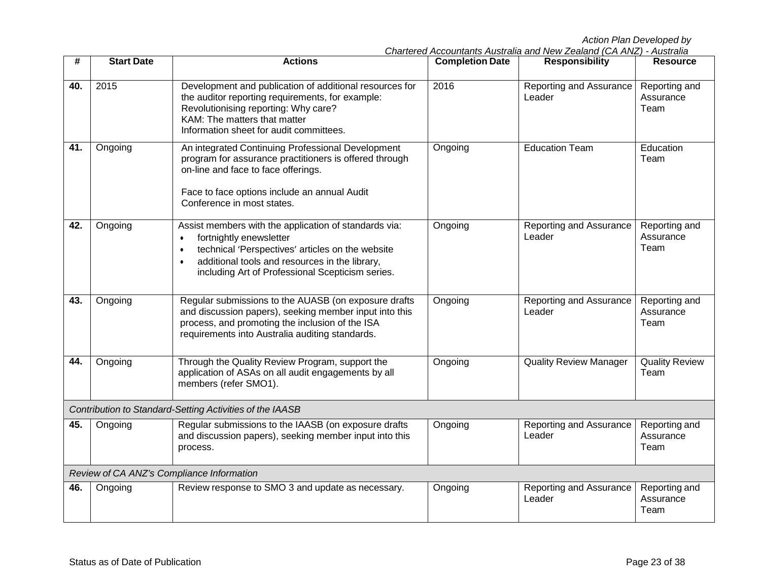| #   | <b>Start Date</b> | <b>Actions</b>                                                                                                                                                                                                                                                                    | <b>Completion Date</b> | <b>Responsibility</b>             | <b>Resource</b>                    |
|-----|-------------------|-----------------------------------------------------------------------------------------------------------------------------------------------------------------------------------------------------------------------------------------------------------------------------------|------------------------|-----------------------------------|------------------------------------|
| 40. | 2015              | Development and publication of additional resources for<br>the auditor reporting requirements, for example:<br>Revolutionising reporting: Why care?<br>KAM: The matters that matter<br>Information sheet for audit committees.                                                    | 2016                   | Reporting and Assurance<br>Leader | Reporting and<br>Assurance<br>Team |
| 41. | Ongoing           | An integrated Continuing Professional Development<br>program for assurance practitioners is offered through<br>on-line and face to face offerings.<br>Face to face options include an annual Audit<br>Conference in most states.                                                  | Ongoing                | <b>Education Team</b>             | Education<br>Team                  |
| 42. | Ongoing           | Assist members with the application of standards via:<br>fortnightly enewsletter<br>$\bullet$<br>technical 'Perspectives' articles on the website<br>$\bullet$<br>additional tools and resources in the library,<br>$\bullet$<br>including Art of Professional Scepticism series. | Ongoing                | Reporting and Assurance<br>Leader | Reporting and<br>Assurance<br>Team |
| 43. | Ongoing           | Regular submissions to the AUASB (on exposure drafts<br>and discussion papers), seeking member input into this<br>process, and promoting the inclusion of the ISA<br>requirements into Australia auditing standards.                                                              | Ongoing                | Reporting and Assurance<br>Leader | Reporting and<br>Assurance<br>Team |
| 44. | Ongoing           | Through the Quality Review Program, support the<br>application of ASAs on all audit engagements by all<br>members (refer SMO1).                                                                                                                                                   | Ongoing                | <b>Quality Review Manager</b>     | <b>Quality Review</b><br>Team      |
|     |                   | Contribution to Standard-Setting Activities of the IAASB                                                                                                                                                                                                                          |                        |                                   |                                    |
| 45. | Ongoing           | Regular submissions to the IAASB (on exposure drafts<br>and discussion papers), seeking member input into this<br>process.                                                                                                                                                        | Ongoing                | Reporting and Assurance<br>Leader | Reporting and<br>Assurance<br>Team |
|     |                   | Review of CA ANZ's Compliance Information                                                                                                                                                                                                                                         |                        |                                   |                                    |
| 46. | Ongoing           | Review response to SMO 3 and update as necessary.                                                                                                                                                                                                                                 | Ongoing                | Reporting and Assurance<br>Leader | Reporting and<br>Assurance<br>Team |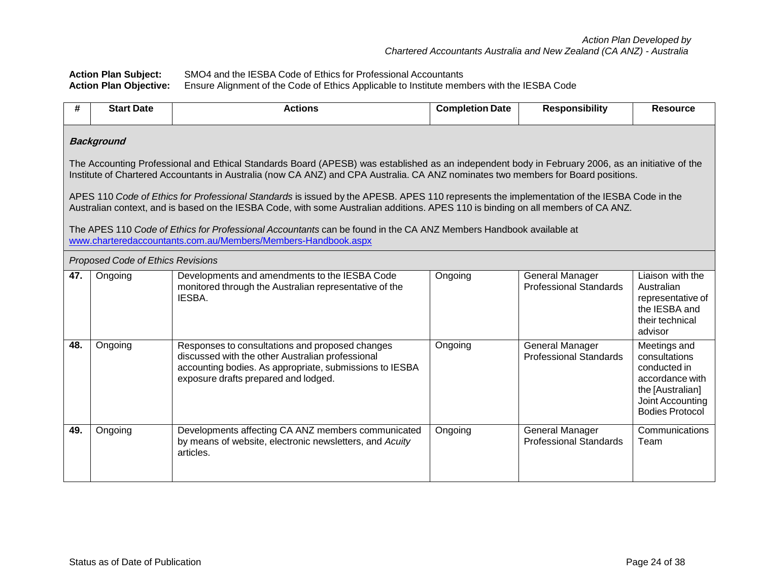**Action Plan Subject:** SMO4 and the IESBA Code of Ethics for Professional Accountants **Action Plan Objective:** Ensure Alignment of the Code of Ethics Applicable to Institute members with the IESBA Code

| #   | <b>Start Date</b>                                                                                                                                                                                                                                                                     | <b>Actions</b>                                                                                                                                                                                                                                                                  | <b>Completion Date</b> | <b>Responsibility</b>                                   | <b>Resource</b>                                                                                                                    |  |  |  |  |
|-----|---------------------------------------------------------------------------------------------------------------------------------------------------------------------------------------------------------------------------------------------------------------------------------------|---------------------------------------------------------------------------------------------------------------------------------------------------------------------------------------------------------------------------------------------------------------------------------|------------------------|---------------------------------------------------------|------------------------------------------------------------------------------------------------------------------------------------|--|--|--|--|
|     | <b>Background</b>                                                                                                                                                                                                                                                                     |                                                                                                                                                                                                                                                                                 |                        |                                                         |                                                                                                                                    |  |  |  |  |
|     | The Accounting Professional and Ethical Standards Board (APESB) was established as an independent body in February 2006, as an initiative of the<br>Institute of Chartered Accountants in Australia (now CA ANZ) and CPA Australia. CA ANZ nominates two members for Board positions. |                                                                                                                                                                                                                                                                                 |                        |                                                         |                                                                                                                                    |  |  |  |  |
|     |                                                                                                                                                                                                                                                                                       | APES 110 Code of Ethics for Professional Standards is issued by the APESB. APES 110 represents the implementation of the IESBA Code in the<br>Australian context, and is based on the IESBA Code, with some Australian additions. APES 110 is binding on all members of CA ANZ. |                        |                                                         |                                                                                                                                    |  |  |  |  |
|     |                                                                                                                                                                                                                                                                                       | The APES 110 Code of Ethics for Professional Accountants can be found in the CA ANZ Members Handbook available at<br>www.charteredaccountants.com.au/Members/Members-Handbook.aspx                                                                                              |                        |                                                         |                                                                                                                                    |  |  |  |  |
|     | Proposed Code of Ethics Revisions                                                                                                                                                                                                                                                     |                                                                                                                                                                                                                                                                                 |                        |                                                         |                                                                                                                                    |  |  |  |  |
| 47. | Ongoing                                                                                                                                                                                                                                                                               | Developments and amendments to the IESBA Code<br>monitored through the Australian representative of the<br>IESBA.                                                                                                                                                               | Ongoing                | <b>General Manager</b><br><b>Professional Standards</b> | Liaison with the<br>Australian<br>representative of<br>the IESBA and<br>their technical<br>advisor                                 |  |  |  |  |
| 48. | Ongoing                                                                                                                                                                                                                                                                               | Responses to consultations and proposed changes<br>discussed with the other Australian professional<br>accounting bodies. As appropriate, submissions to IESBA<br>exposure drafts prepared and lodged.                                                                          | Ongoing                | <b>General Manager</b><br><b>Professional Standards</b> | Meetings and<br>consultations<br>conducted in<br>accordance with<br>the [Australian]<br>Joint Accounting<br><b>Bodies Protocol</b> |  |  |  |  |
| 49. | Ongoing                                                                                                                                                                                                                                                                               | Developments affecting CA ANZ members communicated<br>by means of website, electronic newsletters, and Acuity<br>articles.                                                                                                                                                      | Ongoing                | General Manager<br><b>Professional Standards</b>        | Communications<br>Team                                                                                                             |  |  |  |  |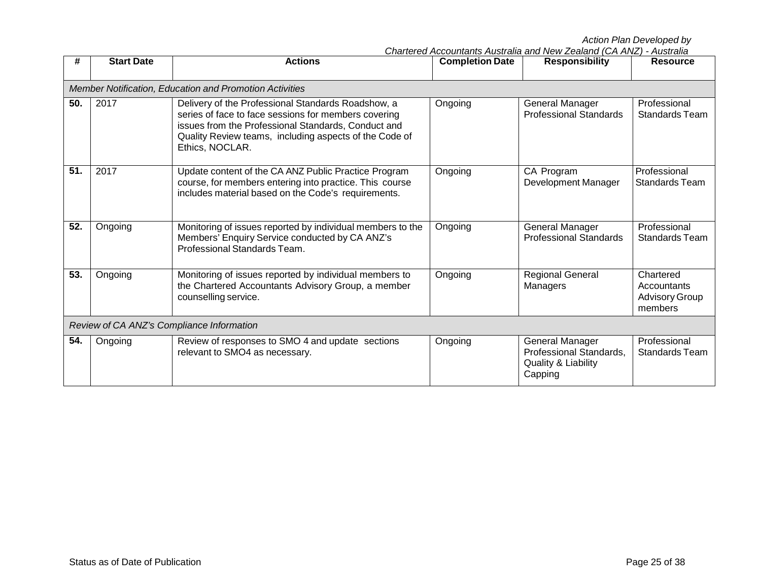|     |                   |                                                                                                                                                                                                                                                |                        | Chartered Accountants Australia and New Zealand (CA ANZ) - Australia         |                                                              |
|-----|-------------------|------------------------------------------------------------------------------------------------------------------------------------------------------------------------------------------------------------------------------------------------|------------------------|------------------------------------------------------------------------------|--------------------------------------------------------------|
| #   | <b>Start Date</b> | <b>Actions</b>                                                                                                                                                                                                                                 | <b>Completion Date</b> | <b>Responsibility</b>                                                        | <b>Resource</b>                                              |
|     |                   |                                                                                                                                                                                                                                                |                        |                                                                              |                                                              |
|     |                   | Member Notification, Education and Promotion Activities                                                                                                                                                                                        |                        |                                                                              |                                                              |
| 50. | 2017              | Delivery of the Professional Standards Roadshow, a<br>series of face to face sessions for members covering<br>issues from the Professional Standards, Conduct and<br>Quality Review teams, including aspects of the Code of<br>Ethics, NOCLAR. | Ongoing                | General Manager<br><b>Professional Standards</b>                             | Professional<br><b>Standards Team</b>                        |
| 51. | 2017              | Update content of the CA ANZ Public Practice Program<br>course, for members entering into practice. This course<br>includes material based on the Code's requirements.                                                                         | Ongoing                | CA Program<br>Development Manager                                            | Professional<br><b>Standards Team</b>                        |
| 52. | Ongoing           | Monitoring of issues reported by individual members to the<br>Members' Enquiry Service conducted by CA ANZ's<br>Professional Standards Team.                                                                                                   | Ongoing                | General Manager<br><b>Professional Standards</b>                             | Professional<br>Standards Team                               |
| 53. | Ongoing           | Monitoring of issues reported by individual members to<br>the Chartered Accountants Advisory Group, a member<br>counselling service.                                                                                                           | Ongoing                | <b>Regional General</b><br>Managers                                          | Chartered<br>Accountants<br><b>Advisory Group</b><br>members |
|     |                   | Review of CA ANZ's Compliance Information                                                                                                                                                                                                      |                        |                                                                              |                                                              |
| 54. | Ongoing           | Review of responses to SMO 4 and update sections<br>relevant to SMO4 as necessary.                                                                                                                                                             | Ongoing                | General Manager<br>Professional Standards,<br>Quality & Liability<br>Capping | Professional<br>Standards Team                               |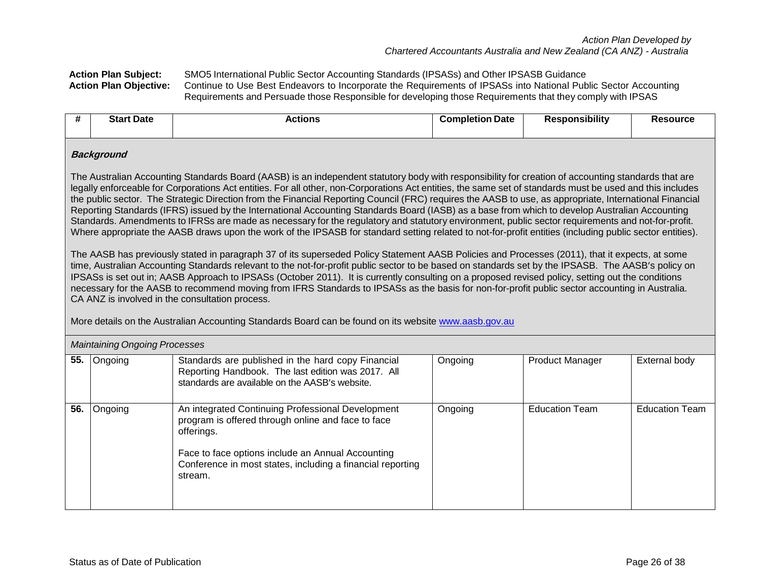**Action Plan Subject:** SMO5 International Public Sector Accounting Standards (IPSASs) and Other IPSASB Guidance Continue to Use Best Endeavors to Incorporate the Requirements of IPSASs into National Public Sector Accounting Requirements and Persuade those Responsible for developing those Requirements that they comply with IPSAS

| #   | <b>Start Date</b>                                                                                                                                                                                                                                                                                                                                                                                                                                                                                                                                                                                                                                                                                                                                                                                                                                                                                                                                                   | <b>Actions</b>                                                                                                                                                                                                                                      | <b>Completion Date</b> | <b>Responsibility</b>  | <b>Resource</b>       |  |  |  |  |
|-----|---------------------------------------------------------------------------------------------------------------------------------------------------------------------------------------------------------------------------------------------------------------------------------------------------------------------------------------------------------------------------------------------------------------------------------------------------------------------------------------------------------------------------------------------------------------------------------------------------------------------------------------------------------------------------------------------------------------------------------------------------------------------------------------------------------------------------------------------------------------------------------------------------------------------------------------------------------------------|-----------------------------------------------------------------------------------------------------------------------------------------------------------------------------------------------------------------------------------------------------|------------------------|------------------------|-----------------------|--|--|--|--|
|     | <b>Background</b><br>The Australian Accounting Standards Board (AASB) is an independent statutory body with responsibility for creation of accounting standards that are<br>legally enforceable for Corporations Act entities. For all other, non-Corporations Act entities, the same set of standards must be used and this includes<br>the public sector. The Strategic Direction from the Financial Reporting Council (FRC) requires the AASB to use, as appropriate, International Financial<br>Reporting Standards (IFRS) issued by the International Accounting Standards Board (IASB) as a base from which to develop Australian Accounting<br>Standards. Amendments to IFRSs are made as necessary for the regulatory and statutory environment, public sector requirements and not-for-profit.<br>Where appropriate the AASB draws upon the work of the IPSASB for standard setting related to not-for-profit entities (including public sector entities). |                                                                                                                                                                                                                                                     |                        |                        |                       |  |  |  |  |
|     | The AASB has previously stated in paragraph 37 of its superseded Policy Statement AASB Policies and Processes (2011), that it expects, at some<br>time, Australian Accounting Standards relevant to the not-for-profit public sector to be based on standards set by the IPSASB. The AASB's policy on<br>IPSASs is set out in; AASB Approach to IPSASs (October 2011). It is currently consulting on a proposed revised policy, setting out the conditions<br>necessary for the AASB to recommend moving from IFRS Standards to IPSASs as the basis for non-for-profit public sector accounting in Australia.<br>CA ANZ is involved in the consultation process.<br>More details on the Australian Accounting Standards Board can be found on its website www.aasb.gov.au                                                                                                                                                                                           |                                                                                                                                                                                                                                                     |                        |                        |                       |  |  |  |  |
|     | <b>Maintaining Ongoing Processes</b>                                                                                                                                                                                                                                                                                                                                                                                                                                                                                                                                                                                                                                                                                                                                                                                                                                                                                                                                |                                                                                                                                                                                                                                                     |                        |                        |                       |  |  |  |  |
| 55. | Ongoing                                                                                                                                                                                                                                                                                                                                                                                                                                                                                                                                                                                                                                                                                                                                                                                                                                                                                                                                                             | Standards are published in the hard copy Financial<br>Reporting Handbook. The last edition was 2017. All<br>standards are available on the AASB's website.                                                                                          | Ongoing                | <b>Product Manager</b> | External body         |  |  |  |  |
| 56. | Ongoing                                                                                                                                                                                                                                                                                                                                                                                                                                                                                                                                                                                                                                                                                                                                                                                                                                                                                                                                                             | An integrated Continuing Professional Development<br>program is offered through online and face to face<br>offerings.<br>Face to face options include an Annual Accounting<br>Conference in most states, including a financial reporting<br>stream. | Ongoing                | <b>Education Team</b>  | <b>Education Team</b> |  |  |  |  |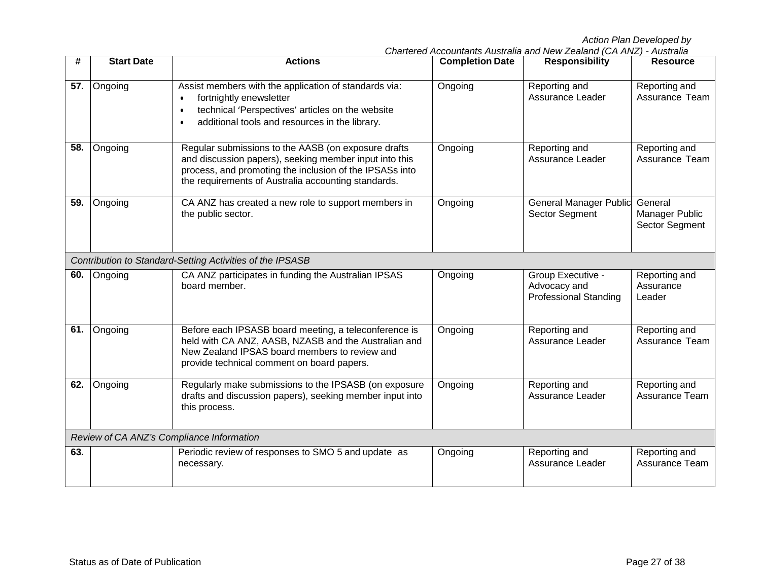| #   | <b>Start Date</b> | <b>Actions</b>                                                                                                                                                                                                                  | <b>Completion Date</b> | <b>Responsibility</b>                                             | <b>Resource</b>                             |
|-----|-------------------|---------------------------------------------------------------------------------------------------------------------------------------------------------------------------------------------------------------------------------|------------------------|-------------------------------------------------------------------|---------------------------------------------|
| 57. | Ongoing           | Assist members with the application of standards via:<br>fortnightly enewsletter<br>$\bullet$<br>technical 'Perspectives' articles on the website<br>$\bullet$<br>additional tools and resources in the library.<br>$\bullet$   | Ongoing                | Reporting and<br>Assurance Leader                                 | Reporting and<br>Assurance Team             |
| 58. | Ongoing           | Regular submissions to the AASB (on exposure drafts<br>and discussion papers), seeking member input into this<br>process, and promoting the inclusion of the IPSASs into<br>the requirements of Australia accounting standards. | Ongoing                | Reporting and<br><b>Assurance Leader</b>                          | Reporting and<br>Assurance Team             |
| 59. | Ongoing           | CA ANZ has created a new role to support members in<br>the public sector.                                                                                                                                                       | Ongoing                | <b>General Manager Public</b><br>Sector Segment                   | General<br>Manager Public<br>Sector Segment |
|     |                   | Contribution to Standard-Setting Activities of the IPSASB                                                                                                                                                                       |                        |                                                                   |                                             |
| 60. | Ongoing           | CA ANZ participates in funding the Australian IPSAS<br>board member.                                                                                                                                                            | Ongoing                | Group Executive -<br>Advocacy and<br><b>Professional Standing</b> | Reporting and<br>Assurance<br>Leader        |
| 61. | Ongoing           | Before each IPSASB board meeting, a teleconference is<br>held with CA ANZ, AASB, NZASB and the Australian and<br>New Zealand IPSAS board members to review and<br>provide technical comment on board papers.                    | Ongoing                | Reporting and<br>Assurance Leader                                 | Reporting and<br><b>Assurance Team</b>      |
| 62. | Ongoing           | Regularly make submissions to the IPSASB (on exposure<br>drafts and discussion papers), seeking member input into<br>this process.                                                                                              | Ongoing                | Reporting and<br>Assurance Leader                                 | Reporting and<br>Assurance Team             |
|     |                   | Review of CA ANZ's Compliance Information                                                                                                                                                                                       |                        |                                                                   |                                             |
| 63. |                   | Periodic review of responses to SMO 5 and update as<br>necessary.                                                                                                                                                               | Ongoing                | Reporting and<br>Assurance Leader                                 | Reporting and<br>Assurance Team             |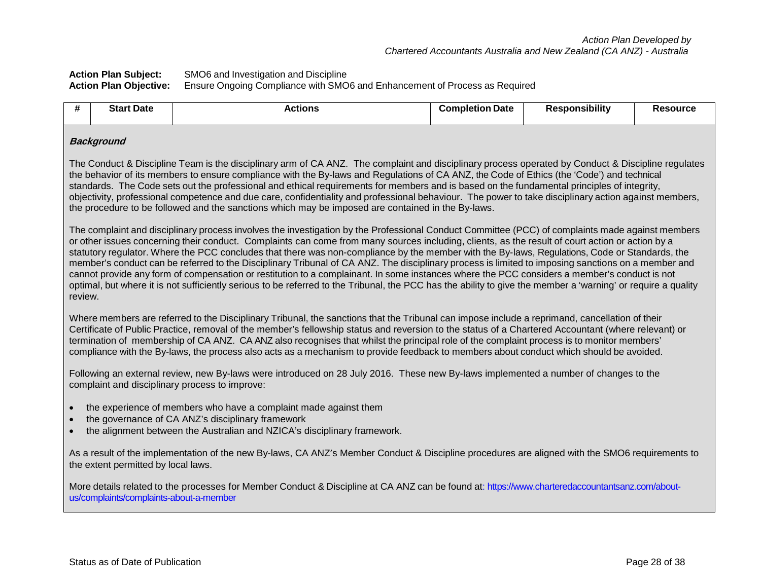## **Action Plan Subject:** SMO6 and Investigation and Discipline **Action Plan Objective:** Ensure Ongoing Compliance with SMO6 and Enhancement of Process as Required

| t Date<br>Star | . | nmr.<br>aletion<br>Date | .<br>----------<br>SIDIIITV | ource: |  |
|----------------|---|-------------------------|-----------------------------|--------|--|
|                |   |                         |                             |        |  |

# **Background**

The Conduct & Discipline Team is the disciplinary arm of CA ANZ. The complaint and disciplinary process operated by Conduct & Discipline regulates the behavior of its members to ensure compliance with the By-laws and Regulations of CA ANZ, the Code of Ethics (the 'Code') and technical standards. The Code sets out the professional and ethical requirements for members and is based on the fundamental principles of integrity, objectivity, professional competence and due care, confidentiality and professional behaviour. The power to take disciplinary action against members, the procedure to be followed and the sanctions which may be imposed are contained in the By-laws.

The complaint and disciplinary process involves the investigation by the Professional Conduct Committee (PCC) of complaints made against members or other issues concerning their conduct. Complaints can come from many sources including, clients, as the result of court action or action by a statutory regulator. Where the PCC concludes that there was non-compliance by the member with the By-laws, Regulations, Code or Standards, the member's conduct can be referred to the Disciplinary Tribunal of CA ANZ. The disciplinary process is limited to imposing sanctions on a member and cannot provide any form of compensation or restitution to a complainant. In some instances where the PCC considers a member's conduct is not optimal, but where it is not sufficiently serious to be referred to the Tribunal, the PCC has the ability to give the member a 'warning' or require a quality review.

Where members are referred to the Disciplinary Tribunal, the sanctions that the Tribunal can impose include a reprimand, cancellation of their Certificate of Public Practice, removal of the member's fellowship status and reversion to the status of a Chartered Accountant (where relevant) or termination of membership of CA ANZ. CA ANZ also recognises that whilst the principal role of the complaint process is to monitor members' compliance with the By-laws, the process also acts as a mechanism to provide feedback to members about conduct which should be avoided.

Following an external review, new By-laws were introduced on 28 July 2016. These new By-laws implemented a number of changes to the complaint and disciplinary process to improve:

- the experience of members who have a complaint made against them
- the governance of CA ANZ's disciplinary framework
- the alignment between the Australian and NZICA's disciplinary framework.

As a result of the implementation of the new By-laws, CA ANZ's Member Conduct & Discipline procedures are aligned with the SMO6 requirements to the extent permitted by local laws.

More details related to the processes for Member Conduct & Discipline at CA ANZ can be found at: https://www.charteredaccountantsanz.com/aboutus/complaints/complaints-about-a-member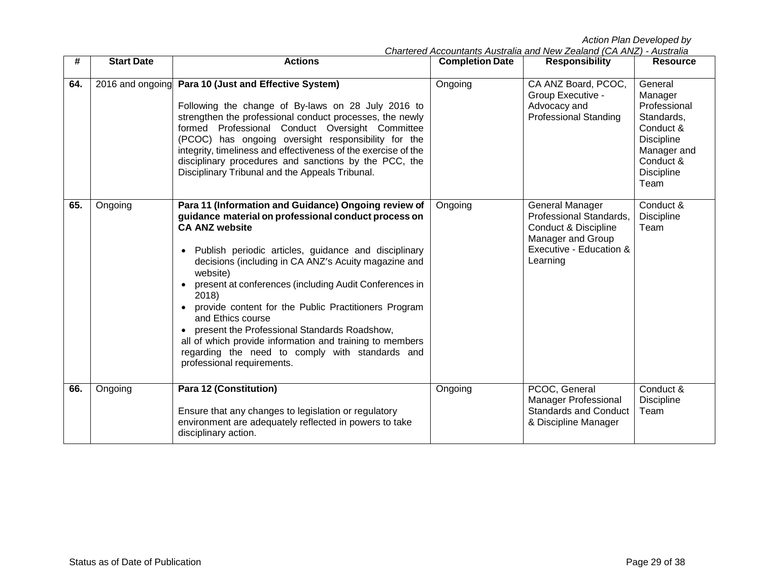| #   | <b>Start Date</b> | <b>Actions</b>                                                                                                                                                                                                                                                                                                                                                                                                                                                                                                                                                                                                 | <b>Completion Date</b> | <b>Responsibility</b>                                                                                                                     | <b>Resource</b>                                                                                                                             |
|-----|-------------------|----------------------------------------------------------------------------------------------------------------------------------------------------------------------------------------------------------------------------------------------------------------------------------------------------------------------------------------------------------------------------------------------------------------------------------------------------------------------------------------------------------------------------------------------------------------------------------------------------------------|------------------------|-------------------------------------------------------------------------------------------------------------------------------------------|---------------------------------------------------------------------------------------------------------------------------------------------|
| 64. |                   | 2016 and ongoing Para 10 (Just and Effective System)<br>Following the change of By-laws on 28 July 2016 to<br>strengthen the professional conduct processes, the newly<br>formed Professional Conduct Oversight Committee<br>(PCOC) has ongoing oversight responsibility for the<br>integrity, timeliness and effectiveness of the exercise of the<br>disciplinary procedures and sanctions by the PCC, the<br>Disciplinary Tribunal and the Appeals Tribunal.                                                                                                                                                 | Ongoing                | CA ANZ Board, PCOC,<br>Group Executive -<br>Advocacy and<br><b>Professional Standing</b>                                                  | General<br>Manager<br>Professional<br>Standards,<br>Conduct &<br><b>Discipline</b><br>Manager and<br>Conduct &<br><b>Discipline</b><br>Team |
| 65. | Ongoing           | Para 11 (Information and Guidance) Ongoing review of<br>guidance material on professional conduct process on<br><b>CA ANZ website</b><br>Publish periodic articles, guidance and disciplinary<br>decisions (including in CA ANZ's Acuity magazine and<br>website)<br>present at conferences (including Audit Conferences in<br>2018)<br>provide content for the Public Practitioners Program<br>and Ethics course<br>present the Professional Standards Roadshow,<br>all of which provide information and training to members<br>regarding the need to comply with standards and<br>professional requirements. | Ongoing                | General Manager<br>Professional Standards,<br><b>Conduct &amp; Discipline</b><br>Manager and Group<br>Executive - Education &<br>Learning | Conduct &<br><b>Discipline</b><br>Team                                                                                                      |
| 66. | Ongoing           | <b>Para 12 (Constitution)</b><br>Ensure that any changes to legislation or regulatory<br>environment are adequately reflected in powers to take<br>disciplinary action.                                                                                                                                                                                                                                                                                                                                                                                                                                        | Ongoing                | PCOC, General<br><b>Manager Professional</b><br><b>Standards and Conduct</b><br>& Discipline Manager                                      | Conduct &<br>Discipline<br>Team                                                                                                             |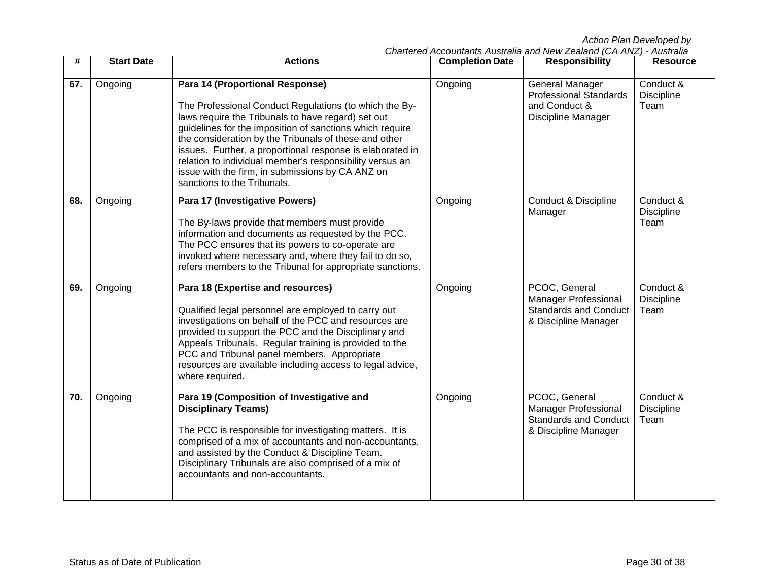| #   | <b>Start Date</b> | <b>Actions</b>                                                                                                                                                                                                                                                                                                                                                                                                                                                                   | <b>Completion Date</b> | <b>Responsibility</b>                                                                                | <b>Resource</b>                        |
|-----|-------------------|----------------------------------------------------------------------------------------------------------------------------------------------------------------------------------------------------------------------------------------------------------------------------------------------------------------------------------------------------------------------------------------------------------------------------------------------------------------------------------|------------------------|------------------------------------------------------------------------------------------------------|----------------------------------------|
| 67. | Ongoing           | Para 14 (Proportional Response)<br>The Professional Conduct Regulations (to which the By-<br>laws require the Tribunals to have regard) set out<br>guidelines for the imposition of sanctions which require<br>the consideration by the Tribunals of these and other<br>issues. Further, a proportional response is elaborated in<br>relation to individual member's responsibility versus an<br>issue with the firm, in submissions by CA ANZ on<br>sanctions to the Tribunals. | Ongoing                | <b>General Manager</b><br><b>Professional Standards</b><br>and Conduct &<br>Discipline Manager       | Conduct &<br>Discipline<br>Team        |
| 68. | Ongoing           | Para 17 (Investigative Powers)<br>The By-laws provide that members must provide<br>information and documents as requested by the PCC.<br>The PCC ensures that its powers to co-operate are<br>invoked where necessary and, where they fail to do so,<br>refers members to the Tribunal for appropriate sanctions.                                                                                                                                                                | Ongoing                | Conduct & Discipline<br>Manager                                                                      | Conduct &<br><b>Discipline</b><br>Team |
| 69. | Ongoing           | Para 18 (Expertise and resources)<br>Qualified legal personnel are employed to carry out<br>investigations on behalf of the PCC and resources are<br>provided to support the PCC and the Disciplinary and<br>Appeals Tribunals. Regular training is provided to the<br>PCC and Tribunal panel members. Appropriate<br>resources are available including access to legal advice,<br>where required.                                                                               | Ongoing                | PCOC, General<br><b>Manager Professional</b><br><b>Standards and Conduct</b><br>& Discipline Manager | Conduct &<br><b>Discipline</b><br>Team |
| 70. | Ongoing           | Para 19 (Composition of Investigative and<br><b>Disciplinary Teams)</b><br>The PCC is responsible for investigating matters. It is<br>comprised of a mix of accountants and non-accountants,<br>and assisted by the Conduct & Discipline Team.<br>Disciplinary Tribunals are also comprised of a mix of<br>accountants and non-accountants.                                                                                                                                      | Ongoing                | PCOC, General<br><b>Manager Professional</b><br><b>Standards and Conduct</b><br>& Discipline Manager | Conduct &<br><b>Discipline</b><br>Team |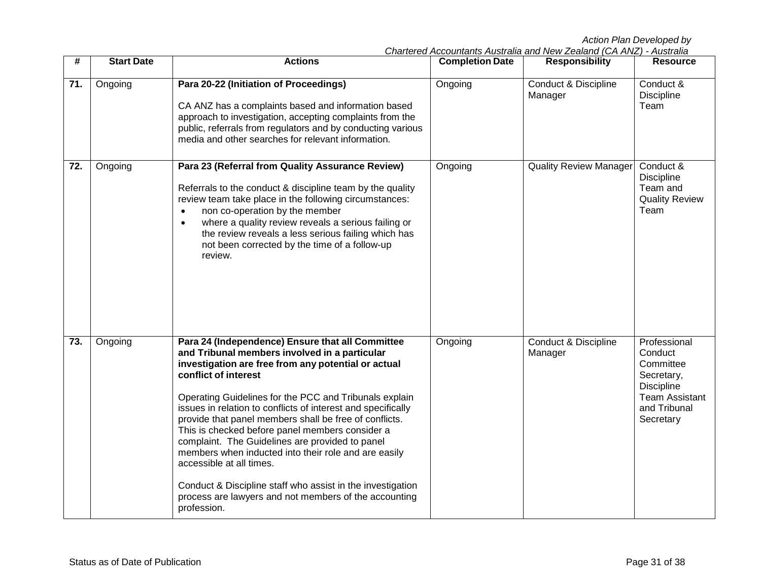| #                | <b>Start Date</b> | <b>Actions</b>                                                                                                                                                                                                                                                                                                                                                                                                                                                                                                                                                                                                                                                                                       | <b>Completion Date</b> | <b>Responsibility</b>                      | <b>Resource</b>                                                                                                               |
|------------------|-------------------|------------------------------------------------------------------------------------------------------------------------------------------------------------------------------------------------------------------------------------------------------------------------------------------------------------------------------------------------------------------------------------------------------------------------------------------------------------------------------------------------------------------------------------------------------------------------------------------------------------------------------------------------------------------------------------------------------|------------------------|--------------------------------------------|-------------------------------------------------------------------------------------------------------------------------------|
| 71.              | Ongoing           | Para 20-22 (Initiation of Proceedings)<br>CA ANZ has a complaints based and information based<br>approach to investigation, accepting complaints from the<br>public, referrals from regulators and by conducting various<br>media and other searches for relevant information.                                                                                                                                                                                                                                                                                                                                                                                                                       | Ongoing                | <b>Conduct &amp; Discipline</b><br>Manager | Conduct &<br><b>Discipline</b><br>Team                                                                                        |
| $\overline{72.}$ | Ongoing           | Para 23 (Referral from Quality Assurance Review)<br>Referrals to the conduct & discipline team by the quality<br>review team take place in the following circumstances:<br>non co-operation by the member<br>where a quality review reveals a serious failing or<br>$\bullet$<br>the review reveals a less serious failing which has<br>not been corrected by the time of a follow-up<br>review.                                                                                                                                                                                                                                                                                                     | Ongoing                | <b>Quality Review Manager</b>              | Conduct &<br><b>Discipline</b><br>Team and<br><b>Quality Review</b><br>Team                                                   |
| 73.              | Ongoing           | Para 24 (Independence) Ensure that all Committee<br>and Tribunal members involved in a particular<br>investigation are free from any potential or actual<br>conflict of interest<br>Operating Guidelines for the PCC and Tribunals explain<br>issues in relation to conflicts of interest and specifically<br>provide that panel members shall be free of conflicts.<br>This is checked before panel members consider a<br>complaint. The Guidelines are provided to panel<br>members when inducted into their role and are easily<br>accessible at all times.<br>Conduct & Discipline staff who assist in the investigation<br>process are lawyers and not members of the accounting<br>profession. | Ongoing                | <b>Conduct &amp; Discipline</b><br>Manager | Professional<br>Conduct<br>Committee<br>Secretary,<br><b>Discipline</b><br><b>Team Assistant</b><br>and Tribunal<br>Secretary |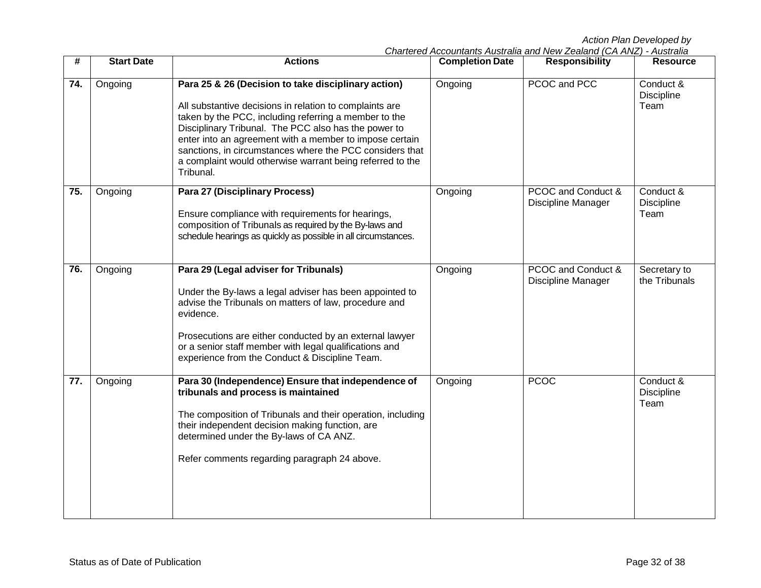| #   | <b>Start Date</b> | <b>Actions</b>                                                                                                                                                                                                                                                                                                                                                                                                                   | <b>Completion Date</b> | <b>Responsibility</b>                           | <b>Resource</b>                        |
|-----|-------------------|----------------------------------------------------------------------------------------------------------------------------------------------------------------------------------------------------------------------------------------------------------------------------------------------------------------------------------------------------------------------------------------------------------------------------------|------------------------|-------------------------------------------------|----------------------------------------|
| 74. | Ongoing           | Para 25 & 26 (Decision to take disciplinary action)<br>All substantive decisions in relation to complaints are<br>taken by the PCC, including referring a member to the<br>Disciplinary Tribunal. The PCC also has the power to<br>enter into an agreement with a member to impose certain<br>sanctions, in circumstances where the PCC considers that<br>a complaint would otherwise warrant being referred to the<br>Tribunal. | Ongoing                | PCOC and PCC                                    | Conduct &<br>Discipline<br>Team        |
| 75. | Ongoing           | <b>Para 27 (Disciplinary Process)</b><br>Ensure compliance with requirements for hearings,<br>composition of Tribunals as required by the By-laws and<br>schedule hearings as quickly as possible in all circumstances.                                                                                                                                                                                                          | Ongoing                | PCOC and Conduct &<br><b>Discipline Manager</b> | Conduct &<br><b>Discipline</b><br>Team |
| 76. | Ongoing           | Para 29 (Legal adviser for Tribunals)<br>Under the By-laws a legal adviser has been appointed to<br>advise the Tribunals on matters of law, procedure and<br>evidence.<br>Prosecutions are either conducted by an external lawyer<br>or a senior staff member with legal qualifications and<br>experience from the Conduct & Discipline Team.                                                                                    | Ongoing                | PCOC and Conduct &<br>Discipline Manager        | Secretary to<br>the Tribunals          |
| 77. | Ongoing           | Para 30 (Independence) Ensure that independence of<br>tribunals and process is maintained<br>The composition of Tribunals and their operation, including<br>their independent decision making function, are<br>determined under the By-laws of CA ANZ.<br>Refer comments regarding paragraph 24 above.                                                                                                                           | Ongoing                | <b>PCOC</b>                                     | Conduct &<br><b>Discipline</b><br>Team |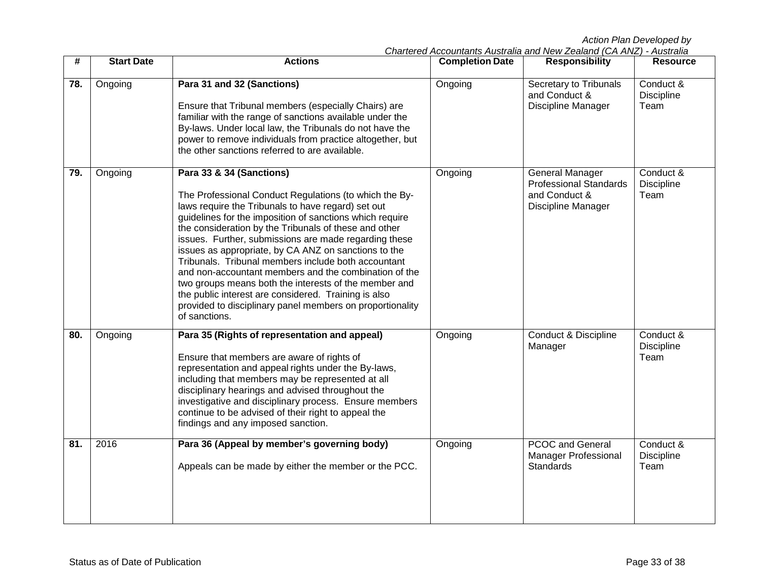| #   | <b>Start Date</b> | <b>Actions</b>                                                                                                                                                                                                                                                                                                                                                                                                                                                                                                                                                                                                                                                                                | <b>Completion Date</b> | <b>Responsibility</b>                                                                   | <b>Resource</b>                        |
|-----|-------------------|-----------------------------------------------------------------------------------------------------------------------------------------------------------------------------------------------------------------------------------------------------------------------------------------------------------------------------------------------------------------------------------------------------------------------------------------------------------------------------------------------------------------------------------------------------------------------------------------------------------------------------------------------------------------------------------------------|------------------------|-----------------------------------------------------------------------------------------|----------------------------------------|
| 78. | Ongoing           | Para 31 and 32 (Sanctions)<br>Ensure that Tribunal members (especially Chairs) are<br>familiar with the range of sanctions available under the<br>By-laws. Under local law, the Tribunals do not have the<br>power to remove individuals from practice altogether, but<br>the other sanctions referred to are available.                                                                                                                                                                                                                                                                                                                                                                      | Ongoing                | Secretary to Tribunals<br>and Conduct &<br>Discipline Manager                           | Conduct &<br><b>Discipline</b><br>Team |
| 79. | Ongoing           | Para 33 & 34 (Sanctions)<br>The Professional Conduct Regulations (to which the By-<br>laws require the Tribunals to have regard) set out<br>guidelines for the imposition of sanctions which require<br>the consideration by the Tribunals of these and other<br>issues. Further, submissions are made regarding these<br>issues as appropriate, by CA ANZ on sanctions to the<br>Tribunals. Tribunal members include both accountant<br>and non-accountant members and the combination of the<br>two groups means both the interests of the member and<br>the public interest are considered. Training is also<br>provided to disciplinary panel members on proportionality<br>of sanctions. | Ongoing                | General Manager<br><b>Professional Standards</b><br>and Conduct &<br>Discipline Manager | Conduct &<br>Discipline<br>Team        |
| 80. | Ongoing           | Para 35 (Rights of representation and appeal)<br>Ensure that members are aware of rights of<br>representation and appeal rights under the By-laws,<br>including that members may be represented at all<br>disciplinary hearings and advised throughout the<br>investigative and disciplinary process. Ensure members<br>continue to be advised of their right to appeal the<br>findings and any imposed sanction.                                                                                                                                                                                                                                                                             | Ongoing                | <b>Conduct &amp; Discipline</b><br>Manager                                              | Conduct &<br>Discipline<br>Team        |
| 81. | 2016              | Para 36 (Appeal by member's governing body)<br>Appeals can be made by either the member or the PCC.                                                                                                                                                                                                                                                                                                                                                                                                                                                                                                                                                                                           | Ongoing                | <b>PCOC and General</b><br><b>Manager Professional</b><br>Standards                     | Conduct &<br>Discipline<br>Team        |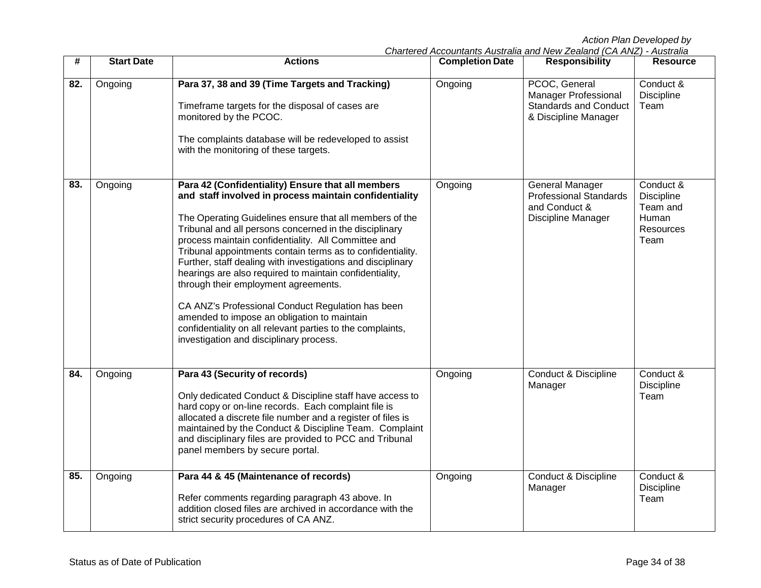| #   | <b>Start Date</b> | <b>Actions</b>                                                                                                                                                                                                                                                                                                                                                                                                                                                                                                                                                                                                                                                                                                                       | <b>Completion Date</b> | <b>Responsibility</b>                                                                                | <b>Resource</b>                                                          |
|-----|-------------------|--------------------------------------------------------------------------------------------------------------------------------------------------------------------------------------------------------------------------------------------------------------------------------------------------------------------------------------------------------------------------------------------------------------------------------------------------------------------------------------------------------------------------------------------------------------------------------------------------------------------------------------------------------------------------------------------------------------------------------------|------------------------|------------------------------------------------------------------------------------------------------|--------------------------------------------------------------------------|
| 82. | Ongoing           | Para 37, 38 and 39 (Time Targets and Tracking)<br>Timeframe targets for the disposal of cases are<br>monitored by the PCOC.<br>The complaints database will be redeveloped to assist<br>with the monitoring of these targets.                                                                                                                                                                                                                                                                                                                                                                                                                                                                                                        | Ongoing                | PCOC, General<br><b>Manager Professional</b><br><b>Standards and Conduct</b><br>& Discipline Manager | Conduct &<br>Discipline<br>Team                                          |
| 83. | Ongoing           | Para 42 (Confidentiality) Ensure that all members<br>and staff involved in process maintain confidentiality<br>The Operating Guidelines ensure that all members of the<br>Tribunal and all persons concerned in the disciplinary<br>process maintain confidentiality. All Committee and<br>Tribunal appointments contain terms as to confidentiality.<br>Further, staff dealing with investigations and disciplinary<br>hearings are also required to maintain confidentiality,<br>through their employment agreements.<br>CA ANZ's Professional Conduct Regulation has been<br>amended to impose an obligation to maintain<br>confidentiality on all relevant parties to the complaints,<br>investigation and disciplinary process. | Ongoing                | General Manager<br><b>Professional Standards</b><br>and Conduct &<br>Discipline Manager              | Conduct &<br><b>Discipline</b><br>Team and<br>Human<br>Resources<br>Team |
| 84. | Ongoing           | Para 43 (Security of records)<br>Only dedicated Conduct & Discipline staff have access to<br>hard copy or on-line records. Each complaint file is<br>allocated a discrete file number and a register of files is<br>maintained by the Conduct & Discipline Team. Complaint<br>and disciplinary files are provided to PCC and Tribunal<br>panel members by secure portal.                                                                                                                                                                                                                                                                                                                                                             | Ongoing                | <b>Conduct &amp; Discipline</b><br>Manager                                                           | Conduct &<br>Discipline<br>Team                                          |
| 85. | Ongoing           | Para 44 & 45 (Maintenance of records)<br>Refer comments regarding paragraph 43 above. In<br>addition closed files are archived in accordance with the<br>strict security procedures of CA ANZ.                                                                                                                                                                                                                                                                                                                                                                                                                                                                                                                                       | Ongoing                | <b>Conduct &amp; Discipline</b><br>Manager                                                           | Conduct &<br><b>Discipline</b><br>Team                                   |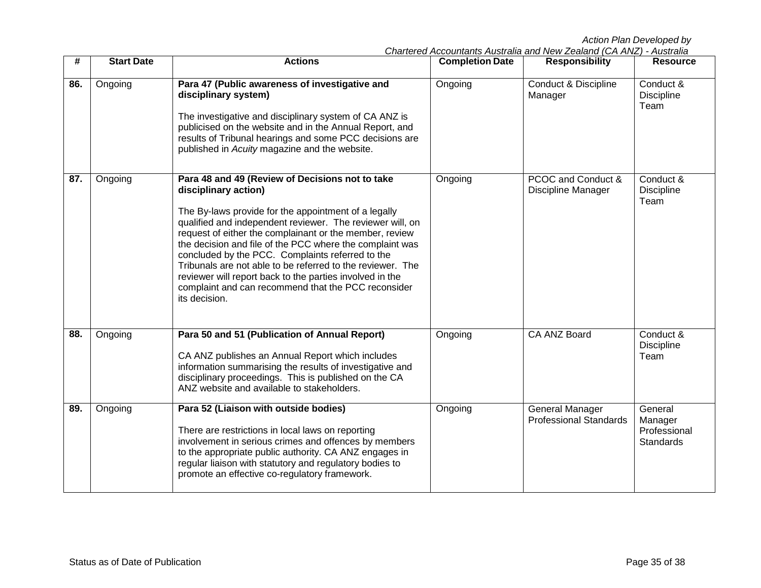| #   | <b>Start Date</b> | <b>Actions</b>                                                                                                                                                                                                                                                                                                                                                                                                                                                                                                                                                            | <b>Completion Date</b> | <b>Responsibility</b>                                   | <b>Resource</b>                                        |
|-----|-------------------|---------------------------------------------------------------------------------------------------------------------------------------------------------------------------------------------------------------------------------------------------------------------------------------------------------------------------------------------------------------------------------------------------------------------------------------------------------------------------------------------------------------------------------------------------------------------------|------------------------|---------------------------------------------------------|--------------------------------------------------------|
| 86. | Ongoing           | Para 47 (Public awareness of investigative and<br>disciplinary system)<br>The investigative and disciplinary system of CA ANZ is<br>publicised on the website and in the Annual Report, and<br>results of Tribunal hearings and some PCC decisions are<br>published in Acuity magazine and the website.                                                                                                                                                                                                                                                                   | Ongoing                | <b>Conduct &amp; Discipline</b><br>Manager              | Conduct &<br><b>Discipline</b><br>Team                 |
| 87. | Ongoing           | Para 48 and 49 (Review of Decisions not to take<br>disciplinary action)<br>The By-laws provide for the appointment of a legally<br>qualified and independent reviewer. The reviewer will, on<br>request of either the complainant or the member, review<br>the decision and file of the PCC where the complaint was<br>concluded by the PCC. Complaints referred to the<br>Tribunals are not able to be referred to the reviewer. The<br>reviewer will report back to the parties involved in the<br>complaint and can recommend that the PCC reconsider<br>its decision. | Ongoing                | PCOC and Conduct &<br><b>Discipline Manager</b>         | Conduct &<br><b>Discipline</b><br>Team                 |
| 88. | Ongoing           | Para 50 and 51 (Publication of Annual Report)<br>CA ANZ publishes an Annual Report which includes<br>information summarising the results of investigative and<br>disciplinary proceedings. This is published on the CA<br>ANZ website and available to stakeholders.                                                                                                                                                                                                                                                                                                      | Ongoing                | CA ANZ Board                                            | Conduct &<br>Discipline<br>Team                        |
| 89. | Ongoing           | Para 52 (Liaison with outside bodies)<br>There are restrictions in local laws on reporting<br>involvement in serious crimes and offences by members<br>to the appropriate public authority. CA ANZ engages in<br>regular liaison with statutory and regulatory bodies to<br>promote an effective co-regulatory framework.                                                                                                                                                                                                                                                 | Ongoing                | <b>General Manager</b><br><b>Professional Standards</b> | General<br>Manager<br>Professional<br><b>Standards</b> |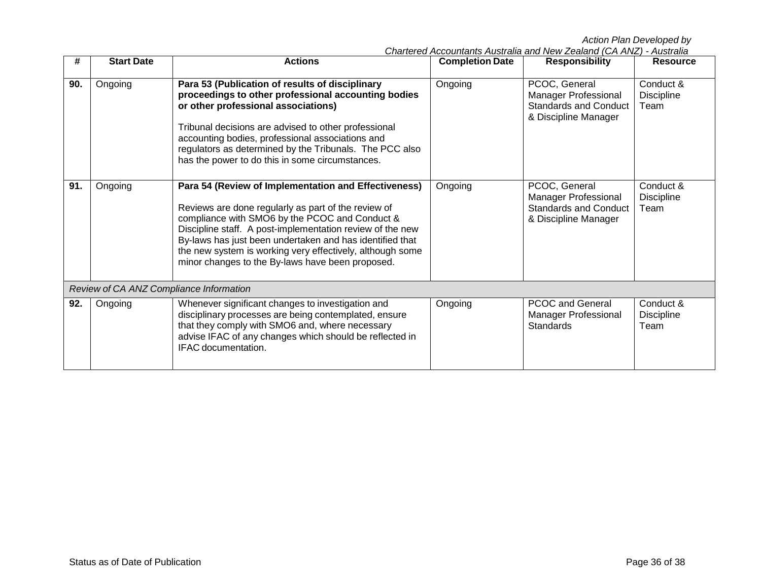| #   | <b>Start Date</b>                       | <b>Actions</b>                                                                                                                                                                                                                                                                                                                                                                                          | <b>Completion Date</b> | <b>Responsibility</b>                                                                                | <b>Resource</b>                        |  |  |
|-----|-----------------------------------------|---------------------------------------------------------------------------------------------------------------------------------------------------------------------------------------------------------------------------------------------------------------------------------------------------------------------------------------------------------------------------------------------------------|------------------------|------------------------------------------------------------------------------------------------------|----------------------------------------|--|--|
| 90. | Ongoing                                 | Para 53 (Publication of results of disciplinary<br>proceedings to other professional accounting bodies<br>or other professional associations)<br>Tribunal decisions are advised to other professional<br>accounting bodies, professional associations and<br>regulators as determined by the Tribunals. The PCC also<br>has the power to do this in some circumstances.                                 | Ongoing                | PCOC, General<br><b>Manager Professional</b><br><b>Standards and Conduct</b><br>& Discipline Manager | Conduct &<br>Discipline<br>Team        |  |  |
| 91. | Ongoing                                 | Para 54 (Review of Implementation and Effectiveness)<br>Reviews are done regularly as part of the review of<br>compliance with SMO6 by the PCOC and Conduct &<br>Discipline staff. A post-implementation review of the new<br>By-laws has just been undertaken and has identified that<br>the new system is working very effectively, although some<br>minor changes to the By-laws have been proposed. | Ongoing                | PCOC, General<br>Manager Professional<br><b>Standards and Conduct</b><br>& Discipline Manager        | Conduct &<br><b>Discipline</b><br>Team |  |  |
|     | Review of CA ANZ Compliance Information |                                                                                                                                                                                                                                                                                                                                                                                                         |                        |                                                                                                      |                                        |  |  |
| 92. | Ongoing                                 | Whenever significant changes to investigation and<br>disciplinary processes are being contemplated, ensure<br>that they comply with SMO6 and, where necessary<br>advise IFAC of any changes which should be reflected in<br>IFAC documentation.                                                                                                                                                         | Ongoing                | <b>PCOC and General</b><br><b>Manager Professional</b><br><b>Standards</b>                           | Conduct &<br><b>Discipline</b><br>Team |  |  |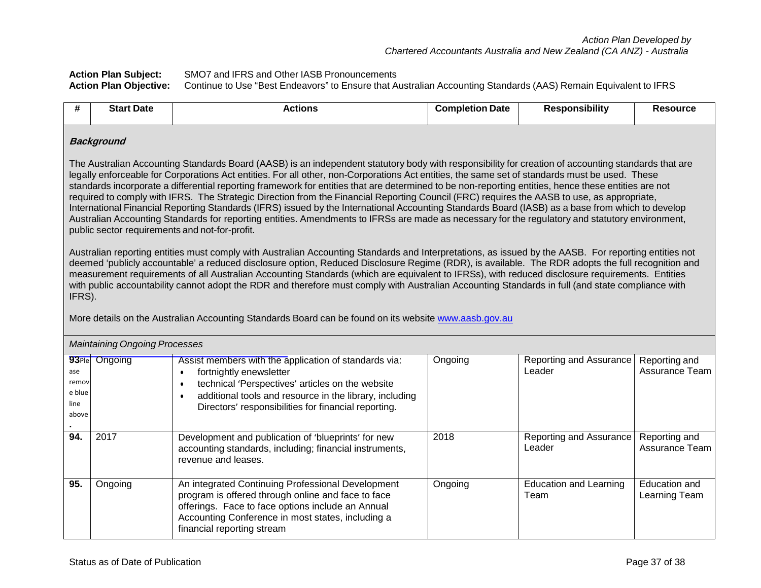**Action Plan Subject:** SMO7 and IFRS and Other IASB Pronouncements Continue to Use "Best Endeavors" to Ensure that Australian Accounting Standards (AAS) Remain Equivalent to IFRS

| #                                       | <b>Start Date</b>                                                                                                                                                                                                                                                                                                                                                                                                                                                                                                                                                                                                                                                                                                                                                                                                                                                                                                                                                    | <b>Actions</b>                                                                                                                                                                                                                                          | <b>Completion Date</b> | <b>Responsibility</b>                 | <b>Resource</b>                 |  |  |  |
|-----------------------------------------|----------------------------------------------------------------------------------------------------------------------------------------------------------------------------------------------------------------------------------------------------------------------------------------------------------------------------------------------------------------------------------------------------------------------------------------------------------------------------------------------------------------------------------------------------------------------------------------------------------------------------------------------------------------------------------------------------------------------------------------------------------------------------------------------------------------------------------------------------------------------------------------------------------------------------------------------------------------------|---------------------------------------------------------------------------------------------------------------------------------------------------------------------------------------------------------------------------------------------------------|------------------------|---------------------------------------|---------------------------------|--|--|--|
|                                         | <b>Background</b>                                                                                                                                                                                                                                                                                                                                                                                                                                                                                                                                                                                                                                                                                                                                                                                                                                                                                                                                                    |                                                                                                                                                                                                                                                         |                        |                                       |                                 |  |  |  |
|                                         | The Australian Accounting Standards Board (AASB) is an independent statutory body with responsibility for creation of accounting standards that are<br>legally enforceable for Corporations Act entities. For all other, non-Corporations Act entities, the same set of standards must be used. These<br>standards incorporate a differential reporting framework for entities that are determined to be non-reporting entities, hence these entities are not<br>required to comply with IFRS. The Strategic Direction from the Financial Reporting Council (FRC) requires the AASB to use, as appropriate,<br>International Financial Reporting Standards (IFRS) issued by the International Accounting Standards Board (IASB) as a base from which to develop<br>Australian Accounting Standards for reporting entities. Amendments to IFRSs are made as necessary for the regulatory and statutory environment,<br>public sector requirements and not-for-profit. |                                                                                                                                                                                                                                                         |                        |                                       |                                 |  |  |  |
|                                         | Australian reporting entities must comply with Australian Accounting Standards and Interpretations, as issued by the AASB. For reporting entities not<br>deemed 'publicly accountable' a reduced disclosure option, Reduced Disclosure Regime (RDR), is available. The RDR adopts the full recognition and<br>measurement requirements of all Australian Accounting Standards (which are equivalent to IFRSs), with reduced disclosure requirements. Entities<br>with public accountability cannot adopt the RDR and therefore must comply with Australian Accounting Standards in full (and state compliance with<br>IFRS).<br>More details on the Australian Accounting Standards Board can be found on its website www.aasb.gov.au                                                                                                                                                                                                                                |                                                                                                                                                                                                                                                         |                        |                                       |                                 |  |  |  |
|                                         | <b>Maintaining Ongoing Processes</b>                                                                                                                                                                                                                                                                                                                                                                                                                                                                                                                                                                                                                                                                                                                                                                                                                                                                                                                                 |                                                                                                                                                                                                                                                         |                        |                                       |                                 |  |  |  |
| ase<br>remov<br>e blue<br>line<br>above | 93Ple Ongoing                                                                                                                                                                                                                                                                                                                                                                                                                                                                                                                                                                                                                                                                                                                                                                                                                                                                                                                                                        | Assist members with the application of standards via:<br>fortnightly enewsletter<br>technical 'Perspectives' articles on the website<br>additional tools and resource in the library, including<br>Directors' responsibilities for financial reporting. | Ongoing                | Reporting and Assurance<br>Leader     | Reporting and<br>Assurance Team |  |  |  |
| 94.                                     | 2017                                                                                                                                                                                                                                                                                                                                                                                                                                                                                                                                                                                                                                                                                                                                                                                                                                                                                                                                                                 | Development and publication of 'blueprints' for new<br>accounting standards, including; financial instruments,<br>revenue and leases.                                                                                                                   | 2018                   | Reporting and Assurance<br>Leader     | Reporting and<br>Assurance Team |  |  |  |
| 95.                                     | Ongoing                                                                                                                                                                                                                                                                                                                                                                                                                                                                                                                                                                                                                                                                                                                                                                                                                                                                                                                                                              | An integrated Continuing Professional Development<br>program is offered through online and face to face<br>offerings. Face to face options include an Annual<br>Accounting Conference in most states, including a<br>financial reporting stream         | Ongoing                | <b>Education and Learning</b><br>Team | Education and<br>Learning Team  |  |  |  |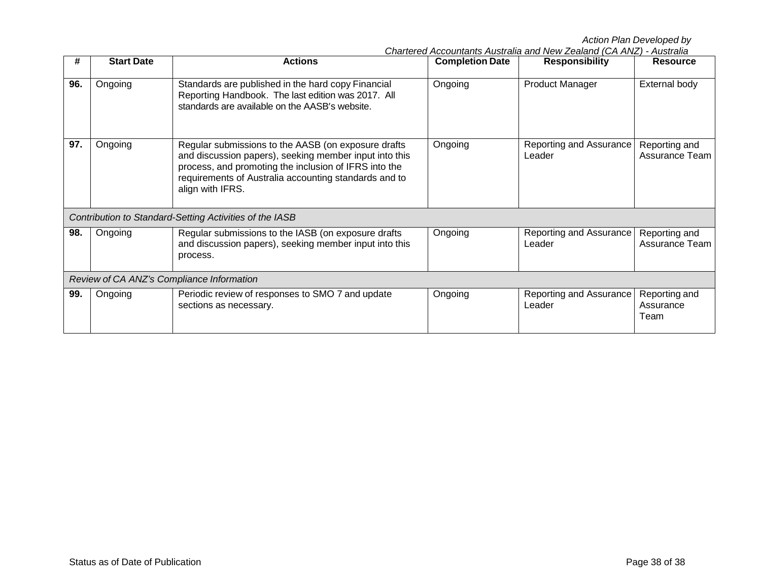| #   | <b>Start Date</b>                         | <b>Actions</b>                                                                                                                                                                                                                                      | <b>Completion Date</b> | <b>Responsibility</b>             | <b>Resource</b>                    |  |  |
|-----|-------------------------------------------|-----------------------------------------------------------------------------------------------------------------------------------------------------------------------------------------------------------------------------------------------------|------------------------|-----------------------------------|------------------------------------|--|--|
| 96. | Ongoing                                   | Standards are published in the hard copy Financial<br>Reporting Handbook. The last edition was 2017. All<br>standards are available on the AASB's website.                                                                                          | Ongoing                | <b>Product Manager</b>            | External body                      |  |  |
| 97. | Ongoing                                   | Regular submissions to the AASB (on exposure drafts<br>and discussion papers), seeking member input into this<br>process, and promoting the inclusion of IFRS into the<br>requirements of Australia accounting standards and to<br>align with IFRS. | Ongoing                | Reporting and Assurance<br>Leader | Reporting and<br>Assurance Team    |  |  |
|     |                                           | Contribution to Standard-Setting Activities of the IASB                                                                                                                                                                                             |                        |                                   |                                    |  |  |
| 98. | Ongoing                                   | Regular submissions to the IASB (on exposure drafts<br>and discussion papers), seeking member input into this<br>process.                                                                                                                           | Ongoing                | Reporting and Assurance<br>Leader | Reporting and<br>Assurance Team    |  |  |
|     | Review of CA ANZ's Compliance Information |                                                                                                                                                                                                                                                     |                        |                                   |                                    |  |  |
| 99. | Ongoing                                   | Periodic review of responses to SMO 7 and update<br>sections as necessary.                                                                                                                                                                          | Ongoing                | Reporting and Assurance<br>Leader | Reporting and<br>Assurance<br>Team |  |  |